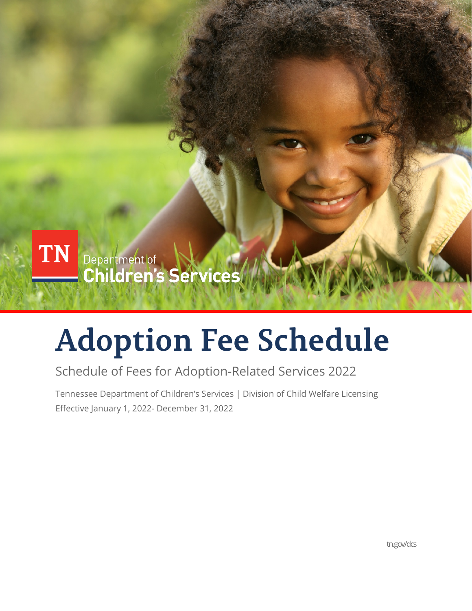

# **Adoption Fee Schedule**

### Schedule of Fees for Adoption-Related Services 2022

Tennessee Department of Children's Services | Division of Child Welfare Licensing Effective January 1, 2022- December 31, 2022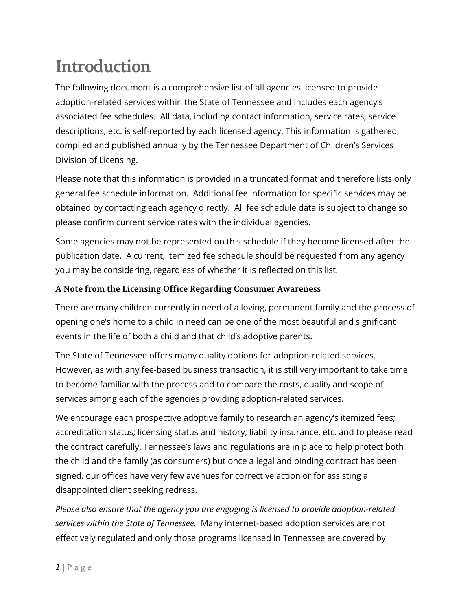## **Introduction**

The following document is a comprehensive list of all agencies licensed to provide adoption-related services within the State of Tennessee and includes each agency's associated fee schedules. All data, including contact information, service rates, service descriptions, etc. is self-reported by each licensed agency. This information is gathered, compiled and published annually by the Tennessee Department of Children's Services Division of Licensing.

Please note that this information is provided in a truncated format and therefore lists only general fee schedule information. Additional fee information for specific services may be obtained by contacting each agency directly. All fee schedule data is subject to change so please confirm current service rates with the individual agencies.

Some agencies may not be represented on this schedule if they become licensed after the publication date. A current, itemized fee schedule should be requested from any agency you may be considering, regardless of whether it is reflected on this list.

#### **A Note from the Licensing Office Regarding Consumer Awareness**

There are many children currently in need of a loving, permanent family and the process of opening one's home to a child in need can be one of the most beautiful and significant events in the life of both a child and that child's adoptive parents.

The State of Tennessee offers many quality options for adoption-related services. However, as with any fee-based business transaction, it is still very important to take time to become familiar with the process and to compare the costs, quality and scope of services among each of the agencies providing adoption-related services.

We encourage each prospective adoptive family to research an agency's itemized fees; accreditation status; licensing status and history; liability insurance, etc. and to please read the contract carefully. Tennessee's laws and regulations are in place to help protect both the child and the family (as consumers) but once a legal and binding contract has been signed, our offices have very few avenues for corrective action or for assisting a disappointed client seeking redress.

*Please also ensure that the agency you are engaging is licensed to provide adoption-related services within the State of Tennessee.* Many internet-based adoption services are not effectively regulated and only those programs licensed in Tennessee are covered by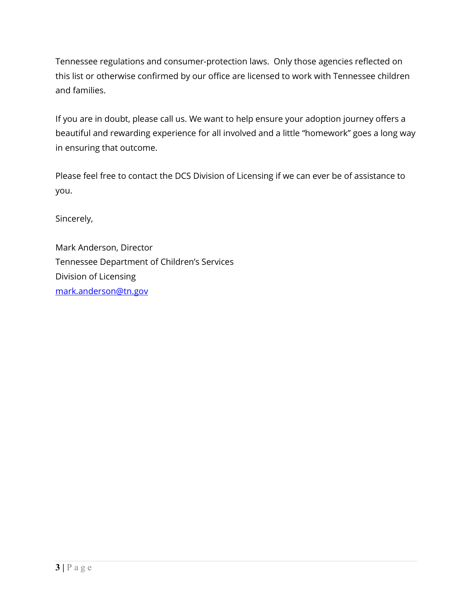Tennessee regulations and consumer-protection laws. Only those agencies reflected on this list or otherwise confirmed by our office are licensed to work with Tennessee children and families.

If you are in doubt, please call us. We want to help ensure your adoption journey offers a beautiful and rewarding experience for all involved and a little "homework" goes a long way in ensuring that outcome.

Please feel free to contact the DCS Division of Licensing if we can ever be of assistance to you.

Sincerely,

Mark Anderson, Director Tennessee Department of Children's Services Division of Licensing [mark.anderson@tn.gov](mailto:mark.anderson@tn.gov)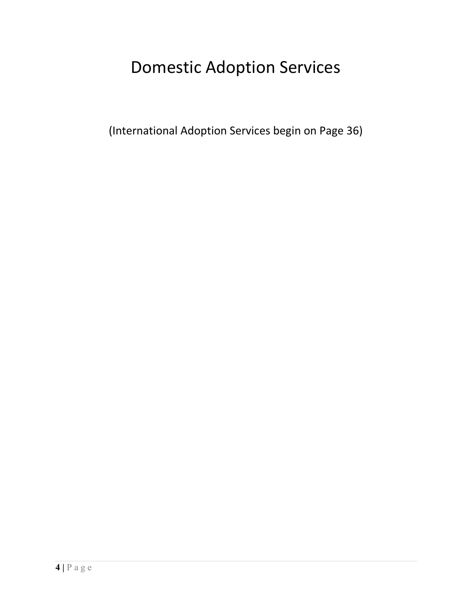### Domestic Adoption Services

(International Adoption Services begin on Page 36)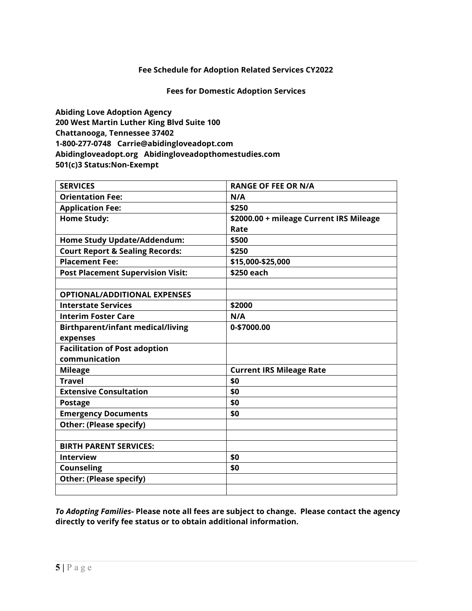#### **Fees for Domestic Adoption Services**

**Abiding Love Adoption Agency 200 West Martin Luther King Blvd Suite 100 Chattanooga, Tennessee 37402 1-800-277-0748 Carrie@abidingloveadopt.com Abidingloveadopt.org Abidingloveadopthomestudies.com 501(c)3 Status:Non-Exempt** 

| <b>SERVICES</b>                            | <b>RANGE OF FEE OR N/A</b>              |
|--------------------------------------------|-----------------------------------------|
| <b>Orientation Fee:</b>                    | N/A                                     |
| <b>Application Fee:</b>                    | \$250                                   |
| <b>Home Study:</b>                         | \$2000.00 + mileage Current IRS Mileage |
|                                            | Rate                                    |
| Home Study Update/Addendum:                | \$500                                   |
| <b>Court Report &amp; Sealing Records:</b> | \$250                                   |
| <b>Placement Fee:</b>                      | \$15,000-\$25,000                       |
| <b>Post Placement Supervision Visit:</b>   | \$250 each                              |
|                                            |                                         |
| <b>OPTIONAL/ADDITIONAL EXPENSES</b>        |                                         |
| <b>Interstate Services</b>                 | \$2000                                  |
| <b>Interim Foster Care</b>                 | N/A                                     |
| <b>Birthparent/infant medical/living</b>   | 0-\$7000.00                             |
| expenses                                   |                                         |
| <b>Facilitation of Post adoption</b>       |                                         |
| communication                              |                                         |
| <b>Mileage</b>                             | <b>Current IRS Mileage Rate</b>         |
| <b>Travel</b>                              | \$0                                     |
| <b>Extensive Consultation</b>              | \$0                                     |
| <b>Postage</b>                             | \$0                                     |
| <b>Emergency Documents</b>                 | \$0                                     |
| <b>Other: (Please specify)</b>             |                                         |
|                                            |                                         |
| <b>BIRTH PARENT SERVICES:</b>              |                                         |
| <b>Interview</b>                           | \$0                                     |
| <b>Counseling</b>                          | \$0                                     |
| <b>Other: (Please specify)</b>             |                                         |
|                                            |                                         |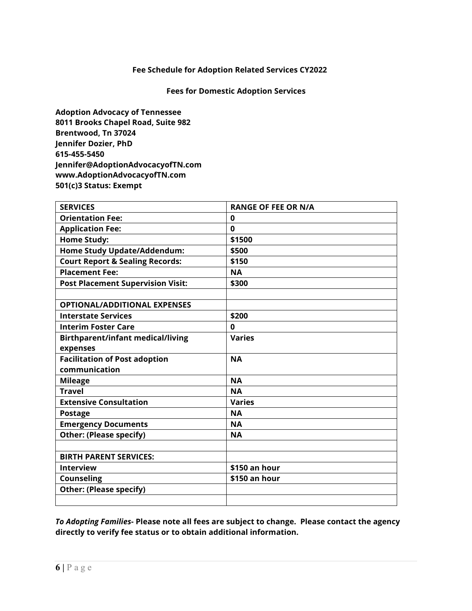#### **Fees for Domestic Adoption Services**

**Adoption Advocacy of Tennessee 8011 Brooks Chapel Road, Suite 982 Brentwood, Tn 37024 Jennifer Dozier, PhD 615-455-5450 [Jennifer@AdoptionAdvocacyofTN.com](mailto:Jennifer@AdoptionAdvocacyofTN.com) [www.AdoptionAdvocacyofTN.com](http://www.adoptionadvocacyoftn.com/) 501(c)3 Status: Exempt**

| <b>SERVICES</b>                            | <b>RANGE OF FEE OR N/A</b> |
|--------------------------------------------|----------------------------|
| <b>Orientation Fee:</b>                    | 0                          |
| <b>Application Fee:</b>                    | $\bf{0}$                   |
| <b>Home Study:</b>                         | \$1500                     |
| Home Study Update/Addendum:                | \$500                      |
| <b>Court Report &amp; Sealing Records:</b> | \$150                      |
| <b>Placement Fee:</b>                      | <b>NA</b>                  |
| <b>Post Placement Supervision Visit:</b>   | \$300                      |
|                                            |                            |
| <b>OPTIONAL/ADDITIONAL EXPENSES</b>        |                            |
| <b>Interstate Services</b>                 | \$200                      |
| <b>Interim Foster Care</b>                 | $\bf{0}$                   |
| <b>Birthparent/infant medical/living</b>   | <b>Varies</b>              |
| expenses                                   |                            |
| <b>Facilitation of Post adoption</b>       | <b>NA</b>                  |
| communication                              |                            |
| <b>Mileage</b>                             | <b>NA</b>                  |
| <b>Travel</b>                              | <b>NA</b>                  |
| <b>Extensive Consultation</b>              | <b>Varies</b>              |
| <b>Postage</b>                             | <b>NA</b>                  |
| <b>Emergency Documents</b>                 | <b>NA</b>                  |
| <b>Other: (Please specify)</b>             | <b>NA</b>                  |
|                                            |                            |
| <b>BIRTH PARENT SERVICES:</b>              |                            |
| <b>Interview</b>                           | \$150 an hour              |
| <b>Counseling</b>                          | \$150 an hour              |
| <b>Other: (Please specify)</b>             |                            |
|                                            |                            |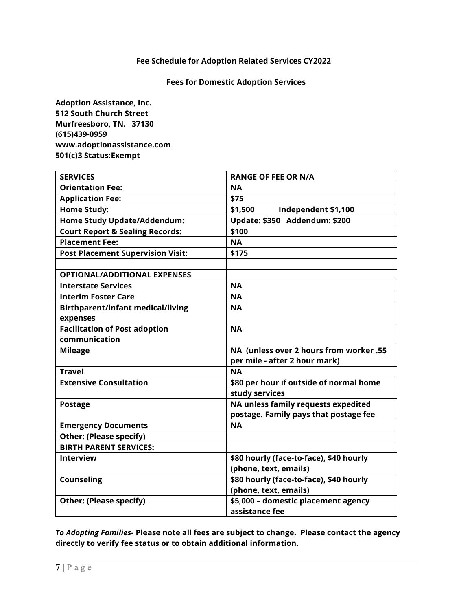#### **Fees for Domestic Adoption Services**

**Adoption Assistance, Inc. 512 South Church Street Murfreesboro, TN. 37130 (615)439-0959 www.adoptionassistance.com 501(c)3 Status:Exempt** 

| <b>SERVICES</b>                            | <b>RANGE OF FEE OR N/A</b>              |
|--------------------------------------------|-----------------------------------------|
| <b>Orientation Fee:</b>                    | <b>NA</b>                               |
| <b>Application Fee:</b>                    | \$75                                    |
| <b>Home Study:</b>                         | \$1,500<br>Independent \$1,100          |
| <b>Home Study Update/Addendum:</b>         | Update: \$350 Addendum: \$200           |
| <b>Court Report &amp; Sealing Records:</b> | \$100                                   |
| <b>Placement Fee:</b>                      | <b>NA</b>                               |
| <b>Post Placement Supervision Visit:</b>   | \$175                                   |
|                                            |                                         |
| <b>OPTIONAL/ADDITIONAL EXPENSES</b>        |                                         |
| <b>Interstate Services</b>                 | <b>NA</b>                               |
| <b>Interim Foster Care</b>                 | <b>NA</b>                               |
| <b>Birthparent/infant medical/living</b>   | <b>NA</b>                               |
| expenses                                   |                                         |
| <b>Facilitation of Post adoption</b>       | <b>NA</b>                               |
| communication                              |                                         |
| <b>Mileage</b>                             | NA (unless over 2 hours from worker .55 |
|                                            | per mile - after 2 hour mark)           |
| <b>Travel</b>                              | <b>NA</b>                               |
| <b>Extensive Consultation</b>              | \$80 per hour if outside of normal home |
|                                            | study services                          |
| <b>Postage</b>                             | NA unless family requests expedited     |
|                                            | postage. Family pays that postage fee   |
| <b>Emergency Documents</b>                 | <b>NA</b>                               |
| <b>Other: (Please specify)</b>             |                                         |
| <b>BIRTH PARENT SERVICES:</b>              |                                         |
| <b>Interview</b>                           | \$80 hourly (face-to-face), \$40 hourly |
|                                            | (phone, text, emails)                   |
| <b>Counseling</b>                          | \$80 hourly (face-to-face), \$40 hourly |
|                                            | (phone, text, emails)                   |
| <b>Other: (Please specify)</b>             | \$5,000 - domestic placement agency     |
|                                            | assistance fee                          |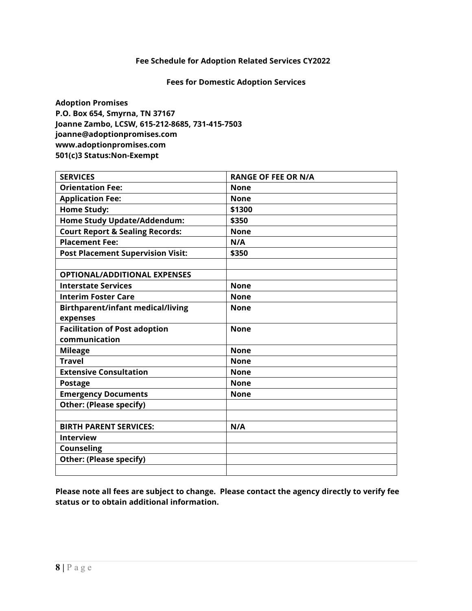#### **Fees for Domestic Adoption Services**

**Adoption Promises P.O. Box 654, Smyrna, TN 37167 Joanne Zambo, LCSW, 615-212-8685, 731-415-7503 joanne@adoptionpromises.com www.adoptionpromises.com 501(c)3 Status:Non-Exempt** 

| <b>SERVICES</b>                            | <b>RANGE OF FEE OR N/A</b> |
|--------------------------------------------|----------------------------|
| <b>Orientation Fee:</b>                    | <b>None</b>                |
| <b>Application Fee:</b>                    | <b>None</b>                |
| <b>Home Study:</b>                         | \$1300                     |
| <b>Home Study Update/Addendum:</b>         | \$350                      |
| <b>Court Report &amp; Sealing Records:</b> | <b>None</b>                |
| <b>Placement Fee:</b>                      | N/A                        |
| <b>Post Placement Supervision Visit:</b>   | \$350                      |
|                                            |                            |
| <b>OPTIONAL/ADDITIONAL EXPENSES</b>        |                            |
| <b>Interstate Services</b>                 | <b>None</b>                |
| <b>Interim Foster Care</b>                 | <b>None</b>                |
| <b>Birthparent/infant medical/living</b>   | <b>None</b>                |
| expenses                                   |                            |
| <b>Facilitation of Post adoption</b>       | <b>None</b>                |
| communication                              |                            |
| <b>Mileage</b>                             | <b>None</b>                |
| <b>Travel</b>                              | <b>None</b>                |
| <b>Extensive Consultation</b>              | <b>None</b>                |
| <b>Postage</b>                             | <b>None</b>                |
| <b>Emergency Documents</b>                 | <b>None</b>                |
| <b>Other: (Please specify)</b>             |                            |
|                                            |                            |
| <b>BIRTH PARENT SERVICES:</b>              | N/A                        |
| <b>Interview</b>                           |                            |
| <b>Counseling</b>                          |                            |
| <b>Other: (Please specify)</b>             |                            |
|                                            |                            |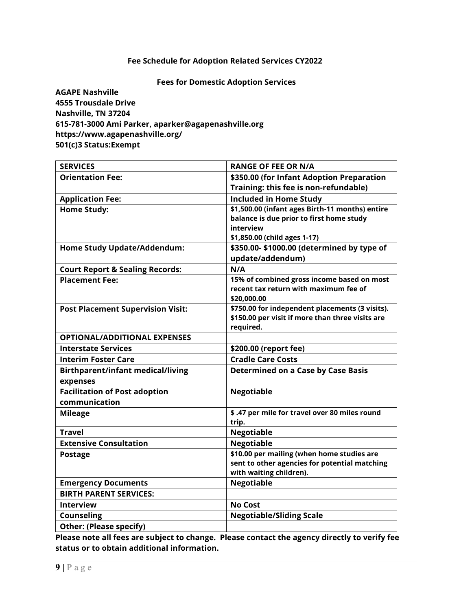#### **Fees for Domestic Adoption Services**

**AGAPE Nashville 4555 Trousdale Drive Nashville, TN 37204 615-781-3000 Ami Parker, [aparker@agapenashville.org](mailto:aparker@agapenashville.org) https://www.agapenashville.org/ 501(c)3 Status:Exempt**

| <b>SERVICES</b>                                             | <b>RANGE OF FEE OR N/A</b>                                                          |
|-------------------------------------------------------------|-------------------------------------------------------------------------------------|
| <b>Orientation Fee:</b>                                     | \$350.00 (for Infant Adoption Preparation                                           |
|                                                             | Training: this fee is non-refundable)                                               |
| <b>Application Fee:</b>                                     | <b>Included in Home Study</b>                                                       |
| <b>Home Study:</b>                                          | \$1,500.00 (infant ages Birth-11 months) entire                                     |
|                                                             | balance is due prior to first home study                                            |
|                                                             | interview                                                                           |
|                                                             | \$1,850.00 (child ages 1-17)                                                        |
| <b>Home Study Update/Addendum:</b>                          | \$350.00-\$1000.00 (determined by type of                                           |
|                                                             | update/addendum)                                                                    |
| <b>Court Report &amp; Sealing Records:</b>                  | N/A                                                                                 |
| <b>Placement Fee:</b>                                       | 15% of combined gross income based on most<br>recent tax return with maximum fee of |
|                                                             | \$20,000.00                                                                         |
| <b>Post Placement Supervision Visit:</b>                    | \$750.00 for independent placements (3 visits).                                     |
|                                                             | \$150.00 per visit if more than three visits are                                    |
|                                                             | required.                                                                           |
| <b>OPTIONAL/ADDITIONAL EXPENSES</b>                         |                                                                                     |
| <b>Interstate Services</b>                                  | \$200.00 (report fee)                                                               |
| <b>Interim Foster Care</b>                                  | <b>Cradle Care Costs</b>                                                            |
| <b>Birthparent/infant medical/living</b>                    | <b>Determined on a Case by Case Basis</b>                                           |
| expenses                                                    |                                                                                     |
| <b>Facilitation of Post adoption</b>                        | <b>Negotiable</b>                                                                   |
| communication                                               |                                                                                     |
| <b>Mileage</b>                                              | \$.47 per mile for travel over 80 miles round                                       |
|                                                             | trip.                                                                               |
| <b>Travel</b>                                               | <b>Negotiable</b>                                                                   |
| <b>Extensive Consultation</b>                               | <b>Negotiable</b>                                                                   |
| <b>Postage</b>                                              | \$10.00 per mailing (when home studies are                                          |
|                                                             | sent to other agencies for potential matching                                       |
|                                                             | with waiting children).<br><b>Negotiable</b>                                        |
| <b>Emergency Documents</b><br><b>BIRTH PARENT SERVICES:</b> |                                                                                     |
|                                                             |                                                                                     |
| <b>Interview</b>                                            | <b>No Cost</b>                                                                      |
| <b>Counseling</b>                                           | <b>Negotiable/Sliding Scale</b>                                                     |
| <b>Other: (Please specify)</b>                              |                                                                                     |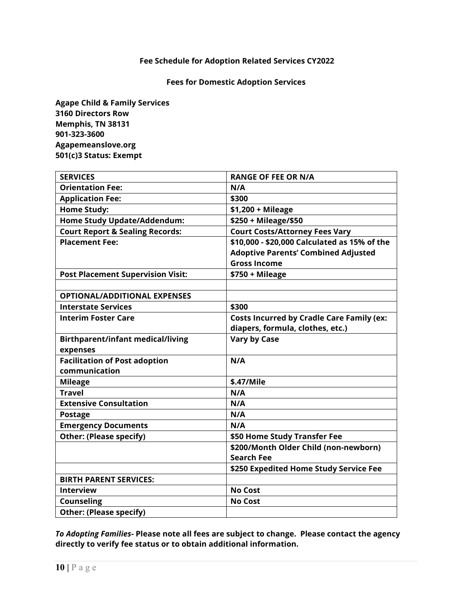#### **Fees for Domestic Adoption Services**

**Agape Child & Family Services 3160 Directors Row Memphis, TN 38131 901-323-3600 Agapemeanslove.org 501(c)3 Status: Exempt** 

| <b>SERVICES</b>                            | <b>RANGE OF FEE OR N/A</b>                       |
|--------------------------------------------|--------------------------------------------------|
| <b>Orientation Fee:</b>                    | N/A                                              |
| <b>Application Fee:</b>                    | \$300                                            |
| <b>Home Study:</b>                         | $$1,200 + Mileage$                               |
| <b>Home Study Update/Addendum:</b>         | \$250 + Mileage/\$50                             |
| <b>Court Report &amp; Sealing Records:</b> | <b>Court Costs/Attorney Fees Vary</b>            |
| <b>Placement Fee:</b>                      | \$10,000 - \$20,000 Calculated as 15% of the     |
|                                            | <b>Adoptive Parents' Combined Adjusted</b>       |
|                                            | <b>Gross Income</b>                              |
| <b>Post Placement Supervision Visit:</b>   | $$750 + Mileage$                                 |
|                                            |                                                  |
| <b>OPTIONAL/ADDITIONAL EXPENSES</b>        |                                                  |
| <b>Interstate Services</b>                 | \$300                                            |
| <b>Interim Foster Care</b>                 | <b>Costs Incurred by Cradle Care Family (ex:</b> |
|                                            | diapers, formula, clothes, etc.)                 |
| <b>Birthparent/infant medical/living</b>   | <b>Vary by Case</b>                              |
| expenses                                   |                                                  |
| <b>Facilitation of Post adoption</b>       | N/A                                              |
| communication                              |                                                  |
| <b>Mileage</b>                             | \$.47/Mile                                       |
| <b>Travel</b>                              | N/A                                              |
| <b>Extensive Consultation</b>              | N/A                                              |
| <b>Postage</b>                             | N/A                                              |
| <b>Emergency Documents</b>                 | N/A                                              |
| <b>Other: (Please specify)</b>             | \$50 Home Study Transfer Fee                     |
|                                            | \$200/Month Older Child (non-newborn)            |
|                                            | <b>Search Fee</b>                                |
|                                            | \$250 Expedited Home Study Service Fee           |
| <b>BIRTH PARENT SERVICES:</b>              |                                                  |
| <b>Interview</b>                           | <b>No Cost</b>                                   |
| <b>Counseling</b>                          | <b>No Cost</b>                                   |
| <b>Other: (Please specify)</b>             |                                                  |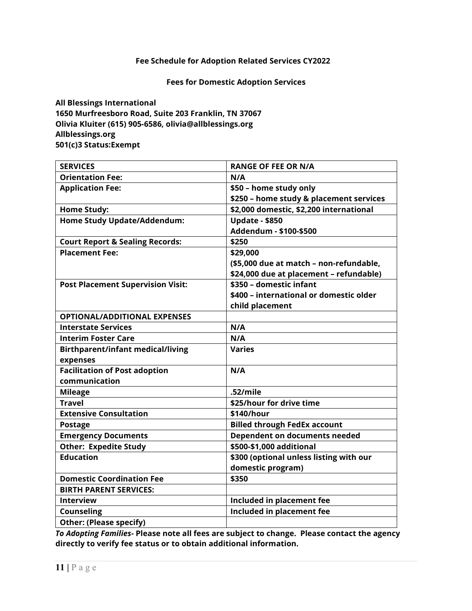#### **Fees for Domestic Adoption Services**

**All Blessings International 1650 Murfreesboro Road, Suite 203 Franklin, TN 37067 Olivia Kluiter (615) 905-6586, olivia@allblessings.org Allblessings.org 501(c)3 Status:Exempt** 

| <b>SERVICES</b>                            | <b>RANGE OF FEE OR N/A</b>              |
|--------------------------------------------|-----------------------------------------|
| <b>Orientation Fee:</b>                    | N/A                                     |
| <b>Application Fee:</b>                    | \$50 - home study only                  |
|                                            | \$250 - home study & placement services |
| <b>Home Study:</b>                         | \$2,000 domestic, \$2,200 international |
| <b>Home Study Update/Addendum:</b>         | <b>Update - \$850</b>                   |
|                                            | Addendum - \$100-\$500                  |
| <b>Court Report &amp; Sealing Records:</b> | \$250                                   |
| <b>Placement Fee:</b>                      | \$29,000                                |
|                                            | (\$5,000 due at match - non-refundable, |
|                                            | \$24,000 due at placement - refundable) |
| <b>Post Placement Supervision Visit:</b>   | \$350 - domestic infant                 |
|                                            | \$400 - international or domestic older |
|                                            | child placement                         |
| <b>OPTIONAL/ADDITIONAL EXPENSES</b>        |                                         |
| <b>Interstate Services</b>                 | N/A                                     |
| <b>Interim Foster Care</b>                 | N/A                                     |
| <b>Birthparent/infant medical/living</b>   | <b>Varies</b>                           |
| expenses                                   |                                         |
| <b>Facilitation of Post adoption</b>       | N/A                                     |
| communication                              |                                         |
| <b>Mileage</b>                             | .52/mile                                |
| <b>Travel</b>                              | \$25/hour for drive time                |
| <b>Extensive Consultation</b>              | \$140/hour                              |
| <b>Postage</b>                             | <b>Billed through FedEx account</b>     |
| <b>Emergency Documents</b>                 | Dependent on documents needed           |
| <b>Other: Expedite Study</b>               | \$500-\$1,000 additional                |
| <b>Education</b>                           | \$300 (optional unless listing with our |
|                                            | domestic program)                       |
| <b>Domestic Coordination Fee</b>           | \$350                                   |
| <b>BIRTH PARENT SERVICES:</b>              |                                         |
| <b>Interview</b>                           | Included in placement fee               |
| <b>Counseling</b>                          | Included in placement fee               |
| <b>Other: (Please specify)</b>             |                                         |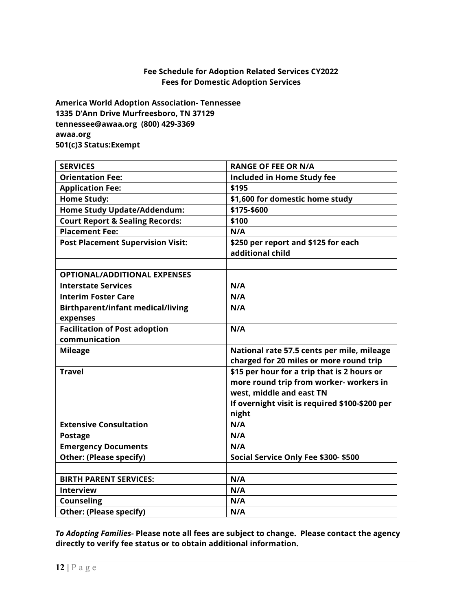#### **Fee Schedule for Adoption Related Services CY2022 Fees for Domestic Adoption Services**

**America World Adoption Association- Tennessee 1335 D'Ann Drive Murfreesboro, TN 37129 [tennessee@awaa.org](mailto:tennessee@awaa.org) (800) 429-3369 awaa.org 501(c)3 Status:Exempt** 

| <b>SERVICES</b>                            | <b>RANGE OF FEE OR N/A</b>                     |
|--------------------------------------------|------------------------------------------------|
| <b>Orientation Fee:</b>                    | <b>Included in Home Study fee</b>              |
| <b>Application Fee:</b>                    | \$195                                          |
| <b>Home Study:</b>                         | \$1,600 for domestic home study                |
| <b>Home Study Update/Addendum:</b>         | \$175-\$600                                    |
| <b>Court Report &amp; Sealing Records:</b> | \$100                                          |
| <b>Placement Fee:</b>                      | N/A                                            |
| <b>Post Placement Supervision Visit:</b>   | \$250 per report and \$125 for each            |
|                                            | additional child                               |
|                                            |                                                |
| <b>OPTIONAL/ADDITIONAL EXPENSES</b>        |                                                |
| <b>Interstate Services</b>                 | N/A                                            |
| <b>Interim Foster Care</b>                 | N/A                                            |
| <b>Birthparent/infant medical/living</b>   | N/A                                            |
| expenses                                   |                                                |
| <b>Facilitation of Post adoption</b>       | N/A                                            |
| communication                              |                                                |
| <b>Mileage</b>                             | National rate 57.5 cents per mile, mileage     |
|                                            | charged for 20 miles or more round trip        |
| <b>Travel</b>                              | \$15 per hour for a trip that is 2 hours or    |
|                                            | more round trip from worker- workers in        |
|                                            | west, middle and east TN                       |
|                                            | If overnight visit is required \$100-\$200 per |
|                                            | night                                          |
| <b>Extensive Consultation</b>              | N/A                                            |
| <b>Postage</b>                             | N/A                                            |
| <b>Emergency Documents</b>                 | N/A                                            |
| <b>Other: (Please specify)</b>             | Social Service Only Fee \$300- \$500           |
|                                            |                                                |
| <b>BIRTH PARENT SERVICES:</b>              | N/A                                            |
| <b>Interview</b>                           | N/A                                            |
| Counseling                                 | N/A                                            |
| <b>Other: (Please specify)</b>             | N/A                                            |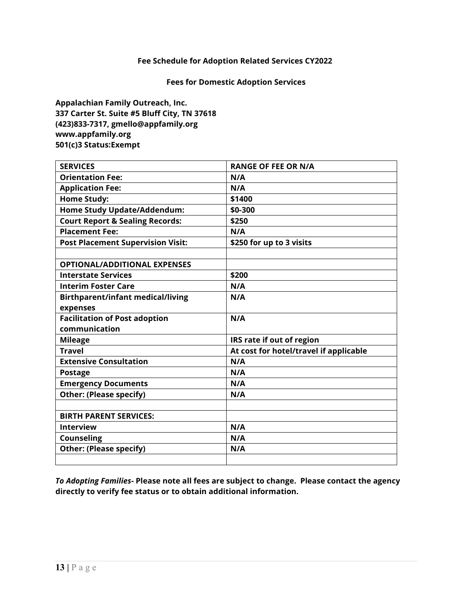#### **Fees for Domestic Adoption Services**

**Appalachian Family Outreach, Inc. 337 Carter St. Suite #5 Bluff City, TN 37618 (423)833-7317, gmello@appfamily.org www.appfamily.org 501(c)3 Status:Exempt** 

| <b>SERVICES</b>                            | <b>RANGE OF FEE OR N/A</b>             |
|--------------------------------------------|----------------------------------------|
| <b>Orientation Fee:</b>                    | N/A                                    |
| <b>Application Fee:</b>                    | N/A                                    |
| <b>Home Study:</b>                         | \$1400                                 |
| <b>Home Study Update/Addendum:</b>         | \$0-300                                |
| <b>Court Report &amp; Sealing Records:</b> | \$250                                  |
| <b>Placement Fee:</b>                      | N/A                                    |
| <b>Post Placement Supervision Visit:</b>   | \$250 for up to 3 visits               |
|                                            |                                        |
| <b>OPTIONAL/ADDITIONAL EXPENSES</b>        |                                        |
| <b>Interstate Services</b>                 | \$200                                  |
| <b>Interim Foster Care</b>                 | N/A                                    |
| <b>Birthparent/infant medical/living</b>   | N/A                                    |
| expenses                                   |                                        |
| <b>Facilitation of Post adoption</b>       | N/A                                    |
| communication                              |                                        |
| <b>Mileage</b>                             | IRS rate if out of region              |
| <b>Travel</b>                              | At cost for hotel/travel if applicable |
| <b>Extensive Consultation</b>              | N/A                                    |
| <b>Postage</b>                             | N/A                                    |
| <b>Emergency Documents</b>                 | N/A                                    |
| <b>Other: (Please specify)</b>             | N/A                                    |
|                                            |                                        |
| <b>BIRTH PARENT SERVICES:</b>              |                                        |
| <b>Interview</b>                           | N/A                                    |
| <b>Counseling</b>                          | N/A                                    |
| <b>Other: (Please specify)</b>             | N/A                                    |
|                                            |                                        |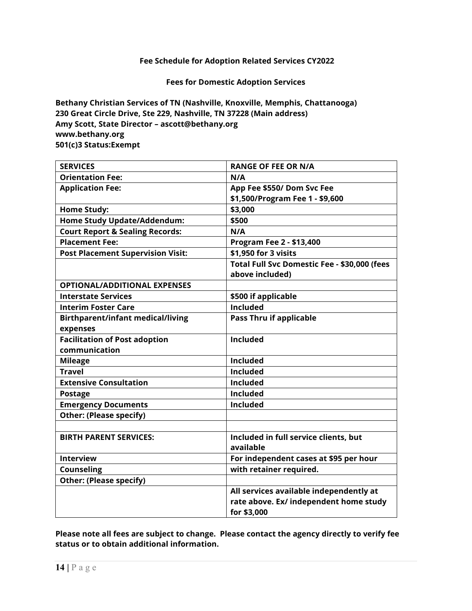**Fees for Domestic Adoption Services**

**Bethany Christian Services of TN (Nashville, Knoxville, Memphis, Chattanooga) 230 Great Circle Drive, Ste 229, Nashville, TN 37228 (Main address) Amy Scott, State Director – ascott@bethany.org www.bethany.org 501(c)3 Status:Exempt**

| <b>SERVICES</b>                            | <b>RANGE OF FEE OR N/A</b>                   |
|--------------------------------------------|----------------------------------------------|
| <b>Orientation Fee:</b>                    | N/A                                          |
| <b>Application Fee:</b>                    | App Fee \$550/ Dom Svc Fee                   |
|                                            | \$1,500/Program Fee 1 - \$9,600              |
| <b>Home Study:</b>                         | \$3,000                                      |
| <b>Home Study Update/Addendum:</b>         | \$500                                        |
| <b>Court Report &amp; Sealing Records:</b> | N/A                                          |
| <b>Placement Fee:</b>                      | Program Fee 2 - \$13,400                     |
| <b>Post Placement Supervision Visit:</b>   | \$1,950 for 3 visits                         |
|                                            | Total Full Svc Domestic Fee - \$30,000 (fees |
|                                            | above included)                              |
| <b>OPTIONAL/ADDITIONAL EXPENSES</b>        |                                              |
| <b>Interstate Services</b>                 | \$500 if applicable                          |
| <b>Interim Foster Care</b>                 | <b>Included</b>                              |
| <b>Birthparent/infant medical/living</b>   | <b>Pass Thru if applicable</b>               |
| expenses                                   |                                              |
| <b>Facilitation of Post adoption</b>       | <b>Included</b>                              |
| communication                              |                                              |
| <b>Mileage</b>                             | Included                                     |
| <b>Travel</b>                              | <b>Included</b>                              |
| <b>Extensive Consultation</b>              | <b>Included</b>                              |
| <b>Postage</b>                             | <b>Included</b>                              |
| <b>Emergency Documents</b>                 | Included                                     |
| <b>Other: (Please specify)</b>             |                                              |
|                                            |                                              |
| <b>BIRTH PARENT SERVICES:</b>              | Included in full service clients, but        |
|                                            | available                                    |
| <b>Interview</b>                           | For independent cases at \$95 per hour       |
| <b>Counseling</b>                          | with retainer required.                      |
| <b>Other: (Please specify)</b>             |                                              |
|                                            | All services available independently at      |
|                                            | rate above. Ex/ independent home study       |
|                                            | for \$3,000                                  |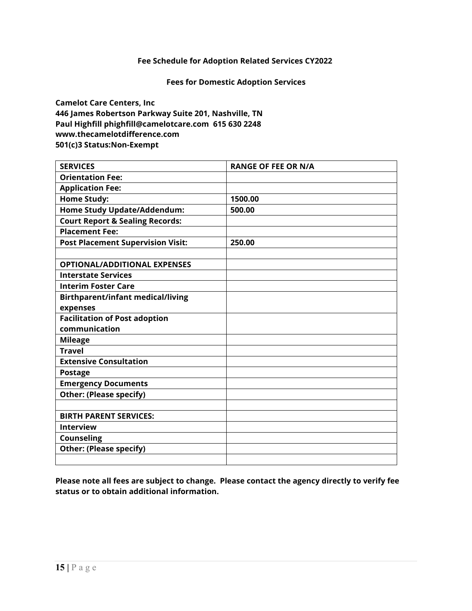#### **Fees for Domestic Adoption Services**

**Camelot Care Centers, Inc 446 James Robertson Parkway Suite 201, Nashville, TN Paul Highfill [phighfill@camelotcare.com](mailto:phighfill@camelotcare.com) 615 630 2248 www.thecamelotdifference.com 501(c)3 Status:Non-Exempt**

| <b>SERVICES</b>                            | <b>RANGE OF FEE OR N/A</b> |
|--------------------------------------------|----------------------------|
| <b>Orientation Fee:</b>                    |                            |
| <b>Application Fee:</b>                    |                            |
| <b>Home Study:</b>                         | 1500.00                    |
| <b>Home Study Update/Addendum:</b>         | 500.00                     |
| <b>Court Report &amp; Sealing Records:</b> |                            |
| <b>Placement Fee:</b>                      |                            |
| <b>Post Placement Supervision Visit:</b>   | 250.00                     |
|                                            |                            |
| <b>OPTIONAL/ADDITIONAL EXPENSES</b>        |                            |
| <b>Interstate Services</b>                 |                            |
| <b>Interim Foster Care</b>                 |                            |
| <b>Birthparent/infant medical/living</b>   |                            |
| expenses                                   |                            |
| <b>Facilitation of Post adoption</b>       |                            |
| communication                              |                            |
| <b>Mileage</b>                             |                            |
| <b>Travel</b>                              |                            |
| <b>Extensive Consultation</b>              |                            |
| <b>Postage</b>                             |                            |
| <b>Emergency Documents</b>                 |                            |
| <b>Other: (Please specify)</b>             |                            |
|                                            |                            |
| <b>BIRTH PARENT SERVICES:</b>              |                            |
| <b>Interview</b>                           |                            |
| <b>Counseling</b>                          |                            |
| <b>Other: (Please specify)</b>             |                            |
|                                            |                            |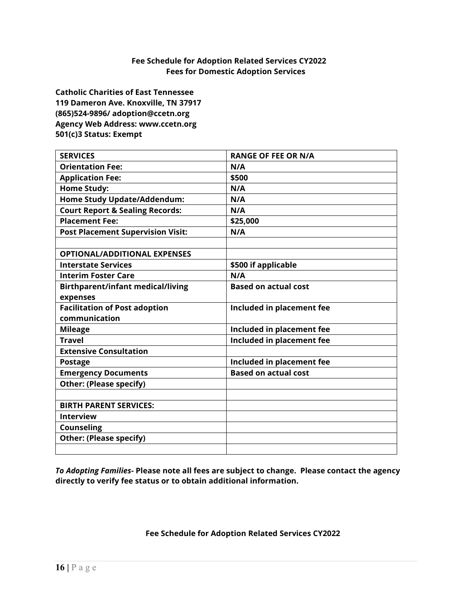#### **Fee Schedule for Adoption Related Services CY2022 Fees for Domestic Adoption Services**

**Catholic Charities of East Tennessee 119 Dameron Ave. Knoxville, TN 37917 (865)524-9896/ adoption@ccetn.org Agency Web Address: www.ccetn.org 501(c)3 Status: Exempt**

| <b>SERVICES</b>                            | <b>RANGE OF FEE OR N/A</b>  |
|--------------------------------------------|-----------------------------|
| <b>Orientation Fee:</b>                    | N/A                         |
| <b>Application Fee:</b>                    | \$500                       |
| <b>Home Study:</b>                         | N/A                         |
| Home Study Update/Addendum:                | N/A                         |
| <b>Court Report &amp; Sealing Records:</b> | N/A                         |
| <b>Placement Fee:</b>                      | \$25,000                    |
| <b>Post Placement Supervision Visit:</b>   | N/A                         |
|                                            |                             |
| <b>OPTIONAL/ADDITIONAL EXPENSES</b>        |                             |
| <b>Interstate Services</b>                 | \$500 if applicable         |
| <b>Interim Foster Care</b>                 | N/A                         |
| <b>Birthparent/infant medical/living</b>   | <b>Based on actual cost</b> |
| expenses                                   |                             |
| <b>Facilitation of Post adoption</b>       | Included in placement fee   |
| communication                              |                             |
| <b>Mileage</b>                             | Included in placement fee   |
| <b>Travel</b>                              | Included in placement fee   |
| <b>Extensive Consultation</b>              |                             |
| <b>Postage</b>                             | Included in placement fee   |
| <b>Emergency Documents</b>                 | <b>Based on actual cost</b> |
| <b>Other: (Please specify)</b>             |                             |
|                                            |                             |
| <b>BIRTH PARENT SERVICES:</b>              |                             |
| <b>Interview</b>                           |                             |
| <b>Counseling</b>                          |                             |
| <b>Other: (Please specify)</b>             |                             |
|                                            |                             |

*To Adopting Families***- Please note all fees are subject to change. Please contact the agency directly to verify fee status or to obtain additional information.**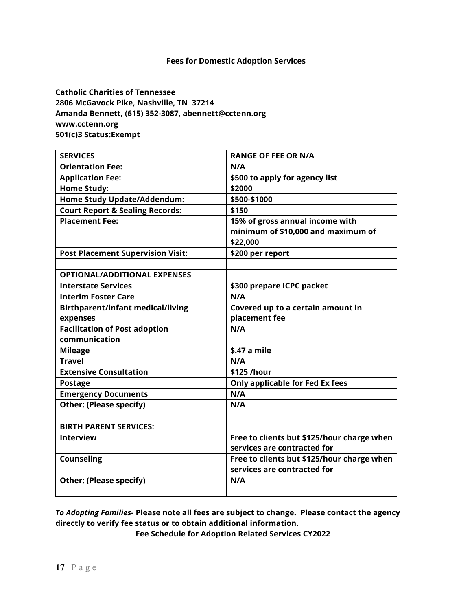**Catholic Charities of Tennessee 2806 McGavock Pike, Nashville, TN 37214 Amanda Bennett, (615) 352-3087, abennett@cctenn.org www.cctenn.org 501(c)3 Status:Exempt**

| <b>SERVICES</b>                            | <b>RANGE OF FEE OR N/A</b>                 |  |
|--------------------------------------------|--------------------------------------------|--|
| <b>Orientation Fee:</b>                    | N/A                                        |  |
| <b>Application Fee:</b>                    | \$500 to apply for agency list             |  |
| <b>Home Study:</b>                         | \$2000                                     |  |
| <b>Home Study Update/Addendum:</b>         | \$500-\$1000                               |  |
| <b>Court Report &amp; Sealing Records:</b> | \$150                                      |  |
| <b>Placement Fee:</b>                      | 15% of gross annual income with            |  |
|                                            | minimum of \$10,000 and maximum of         |  |
|                                            | \$22,000                                   |  |
| <b>Post Placement Supervision Visit:</b>   | \$200 per report                           |  |
|                                            |                                            |  |
| <b>OPTIONAL/ADDITIONAL EXPENSES</b>        |                                            |  |
| <b>Interstate Services</b>                 | \$300 prepare ICPC packet                  |  |
| <b>Interim Foster Care</b>                 | N/A                                        |  |
| <b>Birthparent/infant medical/living</b>   | Covered up to a certain amount in          |  |
| expenses                                   | placement fee                              |  |
| <b>Facilitation of Post adoption</b>       | N/A                                        |  |
| communication                              |                                            |  |
| <b>Mileage</b>                             | \$.47 a mile                               |  |
| <b>Travel</b>                              | N/A                                        |  |
| <b>Extensive Consultation</b>              | \$125 /hour                                |  |
| <b>Postage</b>                             | Only applicable for Fed Ex fees            |  |
| <b>Emergency Documents</b>                 | N/A                                        |  |
| <b>Other: (Please specify)</b>             | N/A                                        |  |
|                                            |                                            |  |
| <b>BIRTH PARENT SERVICES:</b>              |                                            |  |
| <b>Interview</b>                           | Free to clients but \$125/hour charge when |  |
|                                            | services are contracted for                |  |
| <b>Counseling</b>                          | Free to clients but \$125/hour charge when |  |
|                                            | services are contracted for                |  |
| <b>Other: (Please specify)</b>             | N/A                                        |  |
|                                            |                                            |  |

*To Adopting Families***- Please note all fees are subject to change. Please contact the agency directly to verify fee status or to obtain additional information.**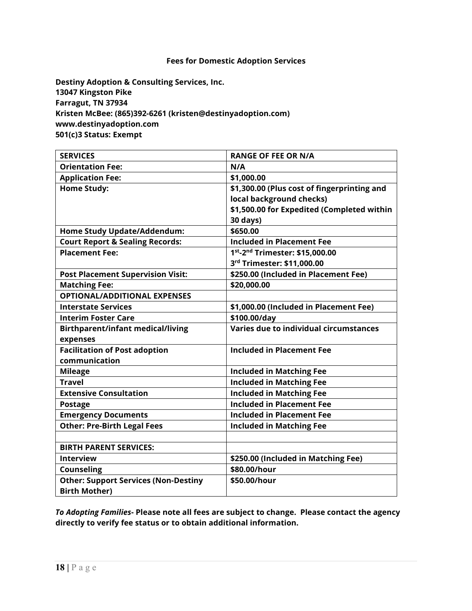**Destiny Adoption & Consulting Services, Inc. 13047 Kingston Pike Farragut, TN 37934 Kristen McBee: (865)392-6261 (kristen@destinyadoption.com) www.destinyadoption.com 501(c)3 Status: Exempt**

| <b>SERVICES</b>                             | <b>RANGE OF FEE OR N/A</b>                  |  |
|---------------------------------------------|---------------------------------------------|--|
| <b>Orientation Fee:</b>                     | N/A                                         |  |
| <b>Application Fee:</b>                     | \$1,000.00                                  |  |
| <b>Home Study:</b>                          | \$1,300.00 (Plus cost of fingerprinting and |  |
|                                             | local background checks)                    |  |
|                                             | \$1,500.00 for Expedited (Completed within  |  |
|                                             | 30 days)                                    |  |
| <b>Home Study Update/Addendum:</b>          | \$650.00                                    |  |
| <b>Court Report &amp; Sealing Records:</b>  | <b>Included in Placement Fee</b>            |  |
| <b>Placement Fee:</b>                       | 1st-2nd Trimester: \$15,000.00              |  |
|                                             | 3rd Trimester: \$11,000.00                  |  |
| <b>Post Placement Supervision Visit:</b>    | \$250.00 (Included in Placement Fee)        |  |
| <b>Matching Fee:</b>                        | \$20,000.00                                 |  |
| <b>OPTIONAL/ADDITIONAL EXPENSES</b>         |                                             |  |
| <b>Interstate Services</b>                  | \$1,000.00 (Included in Placement Fee)      |  |
| <b>Interim Foster Care</b>                  | \$100.00/day                                |  |
| <b>Birthparent/infant medical/living</b>    | Varies due to individual circumstances      |  |
| expenses                                    |                                             |  |
| <b>Facilitation of Post adoption</b>        | <b>Included in Placement Fee</b>            |  |
| communication                               |                                             |  |
| <b>Mileage</b>                              | <b>Included in Matching Fee</b>             |  |
| <b>Travel</b>                               | <b>Included in Matching Fee</b>             |  |
| <b>Extensive Consultation</b>               | <b>Included in Matching Fee</b>             |  |
| <b>Postage</b>                              | <b>Included in Placement Fee</b>            |  |
| <b>Emergency Documents</b>                  | <b>Included in Placement Fee</b>            |  |
| <b>Other: Pre-Birth Legal Fees</b>          | <b>Included in Matching Fee</b>             |  |
|                                             |                                             |  |
| <b>BIRTH PARENT SERVICES:</b>               |                                             |  |
| <b>Interview</b>                            | \$250.00 (Included in Matching Fee)         |  |
| <b>Counseling</b>                           | \$80.00/hour                                |  |
| <b>Other: Support Services (Non-Destiny</b> | \$50.00/hour                                |  |
| <b>Birth Mother)</b>                        |                                             |  |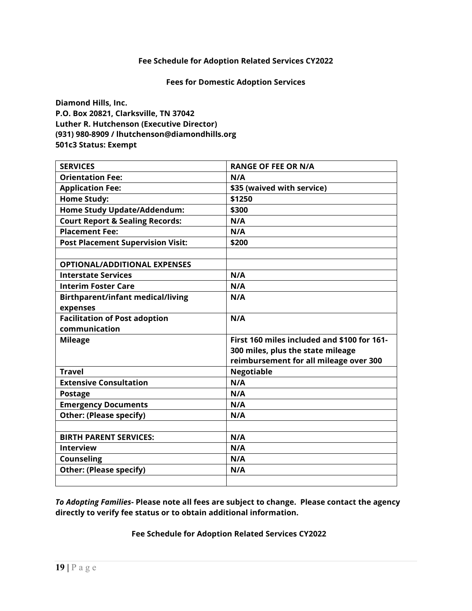**Fees for Domestic Adoption Services**

**Diamond Hills, Inc. P.O. Box 20821, Clarksville, TN 37042 Luther R. Hutchenson (Executive Director) (931) 980-8909 / lhutchenson@diamondhills.org 501c3 Status: Exempt** 

| <b>SERVICES</b>                            | <b>RANGE OF FEE OR N/A</b>                  |  |
|--------------------------------------------|---------------------------------------------|--|
| <b>Orientation Fee:</b>                    | N/A                                         |  |
| <b>Application Fee:</b>                    | \$35 (waived with service)                  |  |
| <b>Home Study:</b>                         | \$1250                                      |  |
| Home Study Update/Addendum:                | \$300                                       |  |
| <b>Court Report &amp; Sealing Records:</b> | N/A                                         |  |
| <b>Placement Fee:</b>                      | N/A                                         |  |
| <b>Post Placement Supervision Visit:</b>   | \$200                                       |  |
|                                            |                                             |  |
| <b>OPTIONAL/ADDITIONAL EXPENSES</b>        |                                             |  |
| <b>Interstate Services</b>                 | N/A                                         |  |
| <b>Interim Foster Care</b>                 | N/A                                         |  |
| <b>Birthparent/infant medical/living</b>   | N/A                                         |  |
| expenses                                   |                                             |  |
| <b>Facilitation of Post adoption</b>       | N/A                                         |  |
| communication                              |                                             |  |
| <b>Mileage</b>                             | First 160 miles included and \$100 for 161- |  |
|                                            | 300 miles, plus the state mileage           |  |
|                                            | reimbursement for all mileage over 300      |  |
| <b>Travel</b>                              | <b>Negotiable</b>                           |  |
| <b>Extensive Consultation</b>              | N/A                                         |  |
| <b>Postage</b>                             | N/A                                         |  |
| <b>Emergency Documents</b>                 | N/A                                         |  |
| <b>Other: (Please specify)</b>             | N/A                                         |  |
|                                            |                                             |  |
| <b>BIRTH PARENT SERVICES:</b>              | N/A                                         |  |
| <b>Interview</b>                           | N/A                                         |  |
| Counseling                                 | N/A                                         |  |
| <b>Other: (Please specify)</b>             | N/A                                         |  |
|                                            |                                             |  |

*To Adopting Families***- Please note all fees are subject to change. Please contact the agency directly to verify fee status or to obtain additional information.**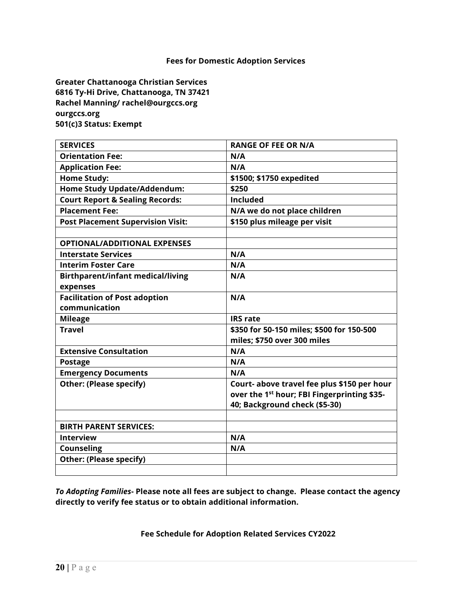**Greater Chattanooga Christian Services 6816 Ty-Hi Drive, Chattanooga, TN 37421 Rachel Manning/ rachel@ourgccs.org ourgccs.org 501(c)3 Status: Exempt**

| <b>SERVICES</b>                            | <b>RANGE OF FEE OR N/A</b>                              |  |
|--------------------------------------------|---------------------------------------------------------|--|
| <b>Orientation Fee:</b>                    | N/A                                                     |  |
| <b>Application Fee:</b>                    | N/A                                                     |  |
| <b>Home Study:</b>                         | \$1500; \$1750 expedited                                |  |
| <b>Home Study Update/Addendum:</b>         | \$250                                                   |  |
| <b>Court Report &amp; Sealing Records:</b> | <b>Included</b>                                         |  |
| <b>Placement Fee:</b>                      | N/A we do not place children                            |  |
| <b>Post Placement Supervision Visit:</b>   | \$150 plus mileage per visit                            |  |
|                                            |                                                         |  |
| <b>OPTIONAL/ADDITIONAL EXPENSES</b>        |                                                         |  |
| <b>Interstate Services</b>                 | N/A                                                     |  |
| <b>Interim Foster Care</b>                 | N/A                                                     |  |
| <b>Birthparent/infant medical/living</b>   | N/A                                                     |  |
| expenses                                   |                                                         |  |
| <b>Facilitation of Post adoption</b>       | N/A                                                     |  |
| communication                              |                                                         |  |
| <b>Mileage</b>                             | <b>IRS</b> rate                                         |  |
| <b>Travel</b>                              | \$350 for 50-150 miles; \$500 for 150-500               |  |
|                                            | miles; \$750 over 300 miles                             |  |
| <b>Extensive Consultation</b>              | N/A                                                     |  |
| <b>Postage</b>                             | N/A                                                     |  |
| <b>Emergency Documents</b>                 | N/A                                                     |  |
| <b>Other: (Please specify)</b>             | Court- above travel fee plus \$150 per hour             |  |
|                                            | over the 1 <sup>st</sup> hour; FBI Fingerprinting \$35- |  |
|                                            | 40; Background check (\$5-30)                           |  |
|                                            |                                                         |  |
| <b>BIRTH PARENT SERVICES:</b>              |                                                         |  |
| <b>Interview</b>                           | N/A                                                     |  |
| <b>Counseling</b>                          | N/A                                                     |  |
| <b>Other: (Please specify)</b>             |                                                         |  |
|                                            |                                                         |  |

*To Adopting Families***- Please note all fees are subject to change. Please contact the agency directly to verify fee status or to obtain additional information.**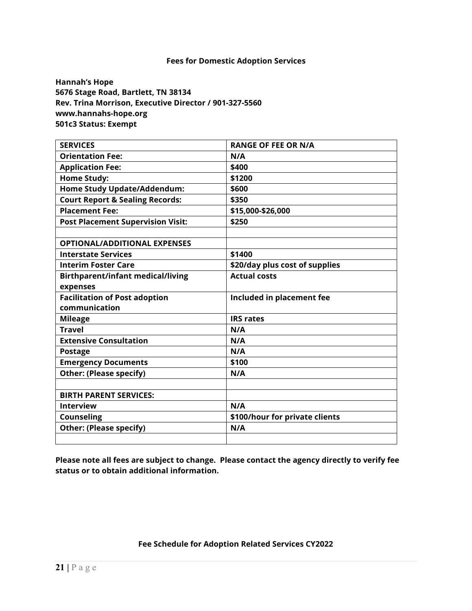**Hannah's Hope 5676 Stage Road, Bartlett, TN 38134 Rev. Trina Morrison, Executive Director / 901-327-5560 www.hannahs-hope.org 501c3 Status: Exempt**

| <b>SERVICES</b>                            | <b>RANGE OF FEE OR N/A</b>     |  |
|--------------------------------------------|--------------------------------|--|
| <b>Orientation Fee:</b>                    | N/A                            |  |
| <b>Application Fee:</b>                    | \$400                          |  |
| <b>Home Study:</b>                         | \$1200                         |  |
| <b>Home Study Update/Addendum:</b>         | \$600                          |  |
| <b>Court Report &amp; Sealing Records:</b> | \$350                          |  |
| <b>Placement Fee:</b>                      | \$15,000-\$26,000              |  |
| <b>Post Placement Supervision Visit:</b>   | \$250                          |  |
|                                            |                                |  |
| <b>OPTIONAL/ADDITIONAL EXPENSES</b>        |                                |  |
| <b>Interstate Services</b>                 | \$1400                         |  |
| <b>Interim Foster Care</b>                 | \$20/day plus cost of supplies |  |
| <b>Birthparent/infant medical/living</b>   | <b>Actual costs</b>            |  |
| expenses                                   |                                |  |
| <b>Facilitation of Post adoption</b>       | Included in placement fee      |  |
| communication                              |                                |  |
| <b>Mileage</b>                             | <b>IRS rates</b>               |  |
| <b>Travel</b>                              | N/A                            |  |
| <b>Extensive Consultation</b>              | N/A                            |  |
| <b>Postage</b>                             | N/A                            |  |
| <b>Emergency Documents</b>                 | \$100                          |  |
| <b>Other: (Please specify)</b>             | N/A                            |  |
|                                            |                                |  |
| <b>BIRTH PARENT SERVICES:</b>              |                                |  |
| <b>Interview</b>                           | N/A                            |  |
| <b>Counseling</b>                          | \$100/hour for private clients |  |
| <b>Other: (Please specify)</b>             | N/A                            |  |
|                                            |                                |  |

**Please note all fees are subject to change. Please contact the agency directly to verify fee status or to obtain additional information.**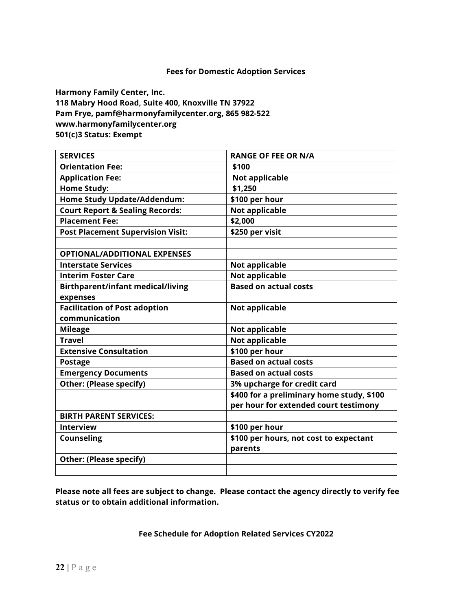**Harmony Family Center, Inc. 118 Mabry Hood Road, Suite 400, Knoxville TN 37922 Pam Frye, [pamf@harmonyfamilycenter.org,](mailto:pamf@harmonyfamilycenter.org) 865 982-522 www.harmonyfamilycenter.org 501(c)3 Status: Exempt**

| <b>SERVICES</b>                            | <b>RANGE OF FEE OR N/A</b>                |  |
|--------------------------------------------|-------------------------------------------|--|
| <b>Orientation Fee:</b>                    | \$100                                     |  |
| <b>Application Fee:</b>                    | <b>Not applicable</b>                     |  |
| <b>Home Study:</b>                         | \$1,250                                   |  |
| <b>Home Study Update/Addendum:</b>         | \$100 per hour                            |  |
| <b>Court Report &amp; Sealing Records:</b> | <b>Not applicable</b>                     |  |
| <b>Placement Fee:</b>                      | \$2,000                                   |  |
| <b>Post Placement Supervision Visit:</b>   | \$250 per visit                           |  |
|                                            |                                           |  |
| <b>OPTIONAL/ADDITIONAL EXPENSES</b>        |                                           |  |
| <b>Interstate Services</b>                 | Not applicable                            |  |
| <b>Interim Foster Care</b>                 | <b>Not applicable</b>                     |  |
| <b>Birthparent/infant medical/living</b>   | <b>Based on actual costs</b>              |  |
| expenses                                   |                                           |  |
| <b>Facilitation of Post adoption</b>       | Not applicable                            |  |
| communication                              |                                           |  |
| <b>Mileage</b>                             | <b>Not applicable</b>                     |  |
| <b>Travel</b>                              | <b>Not applicable</b>                     |  |
| <b>Extensive Consultation</b>              | \$100 per hour                            |  |
| <b>Postage</b>                             | <b>Based on actual costs</b>              |  |
| <b>Emergency Documents</b>                 | <b>Based on actual costs</b>              |  |
| <b>Other: (Please specify)</b>             | 3% upcharge for credit card               |  |
|                                            | \$400 for a preliminary home study, \$100 |  |
|                                            | per hour for extended court testimony     |  |
| <b>BIRTH PARENT SERVICES:</b>              |                                           |  |
| <b>Interview</b>                           | \$100 per hour                            |  |
| <b>Counseling</b>                          | \$100 per hours, not cost to expectant    |  |
|                                            | parents                                   |  |
| <b>Other: (Please specify)</b>             |                                           |  |
|                                            |                                           |  |

**Please note all fees are subject to change. Please contact the agency directly to verify fee status or to obtain additional information.**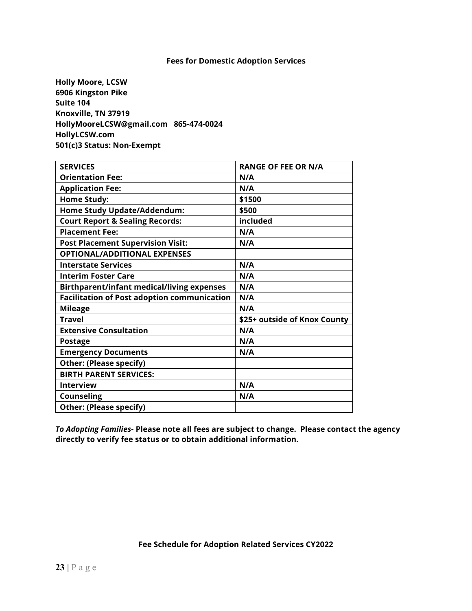**Holly Moore, LCSW 6906 Kingston Pike Suite 104 Knoxville, TN 37919 [HollyMooreLCSW@gmail.com](mailto:HollyMooreLCSW@gmail.com) 865-474-0024 HollyLCSW.com 501(c)3 Status: Non-Exempt** 

| <b>SERVICES</b>                                    | <b>RANGE OF FEE OR N/A</b>   |
|----------------------------------------------------|------------------------------|
| <b>Orientation Fee:</b>                            | N/A                          |
| <b>Application Fee:</b>                            | N/A                          |
| <b>Home Study:</b>                                 | \$1500                       |
| <b>Home Study Update/Addendum:</b>                 | \$500                        |
| <b>Court Report &amp; Sealing Records:</b>         | included                     |
| <b>Placement Fee:</b>                              | N/A                          |
| <b>Post Placement Supervision Visit:</b>           | N/A                          |
| <b>OPTIONAL/ADDITIONAL EXPENSES</b>                |                              |
| <b>Interstate Services</b>                         | N/A                          |
| <b>Interim Foster Care</b>                         | N/A                          |
| <b>Birthparent/infant medical/living expenses</b>  | N/A                          |
| <b>Facilitation of Post adoption communication</b> | N/A                          |
| <b>Mileage</b>                                     | N/A                          |
| <b>Travel</b>                                      | \$25+ outside of Knox County |
| <b>Extensive Consultation</b>                      | N/A                          |
| <b>Postage</b>                                     | N/A                          |
| <b>Emergency Documents</b>                         | N/A                          |
| Other: (Please specify)                            |                              |
| <b>BIRTH PARENT SERVICES:</b>                      |                              |
| <b>Interview</b>                                   | N/A                          |
| <b>Counseling</b>                                  | N/A                          |
| <b>Other: (Please specify)</b>                     |                              |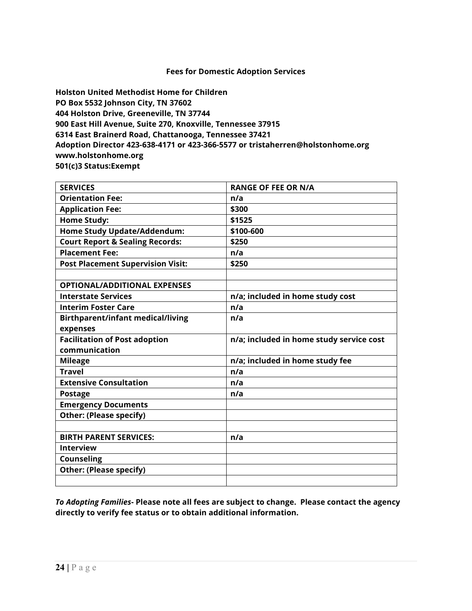**Holston United Methodist Home for Children PO Box 5532 Johnson City, TN 37602 404 Holston Drive, Greeneville, TN 37744 900 East Hill Avenue, Suite 270, Knoxville, Tennessee 37915 6314 East Brainerd Road, Chattanooga, Tennessee 37421 Adoption Director 423-638-4171 or 423-366-5577 or tristaherren@holstonhome.org [www.holstonhome.org](http://www.holstonhome.org/) 501(c)3 Status:Exempt**

| <b>SERVICES</b>                            | <b>RANGE OF FEE OR N/A</b>               |  |
|--------------------------------------------|------------------------------------------|--|
| <b>Orientation Fee:</b>                    | n/a                                      |  |
| <b>Application Fee:</b>                    | \$300                                    |  |
| <b>Home Study:</b>                         | \$1525                                   |  |
| Home Study Update/Addendum:                | \$100-600                                |  |
| <b>Court Report &amp; Sealing Records:</b> | \$250                                    |  |
| <b>Placement Fee:</b>                      | n/a                                      |  |
| <b>Post Placement Supervision Visit:</b>   | \$250                                    |  |
|                                            |                                          |  |
| <b>OPTIONAL/ADDITIONAL EXPENSES</b>        |                                          |  |
| <b>Interstate Services</b>                 | n/a; included in home study cost         |  |
| <b>Interim Foster Care</b>                 | n/a                                      |  |
| <b>Birthparent/infant medical/living</b>   | n/a                                      |  |
| expenses                                   |                                          |  |
| <b>Facilitation of Post adoption</b>       | n/a; included in home study service cost |  |
| communication                              |                                          |  |
| <b>Mileage</b>                             | n/a; included in home study fee          |  |
| <b>Travel</b>                              | n/a                                      |  |
| <b>Extensive Consultation</b>              | n/a                                      |  |
| <b>Postage</b>                             | n/a                                      |  |
| <b>Emergency Documents</b>                 |                                          |  |
| <b>Other: (Please specify)</b>             |                                          |  |
|                                            |                                          |  |
| <b>BIRTH PARENT SERVICES:</b>              | n/a                                      |  |
| <b>Interview</b>                           |                                          |  |
| <b>Counseling</b>                          |                                          |  |
| <b>Other: (Please specify)</b>             |                                          |  |
|                                            |                                          |  |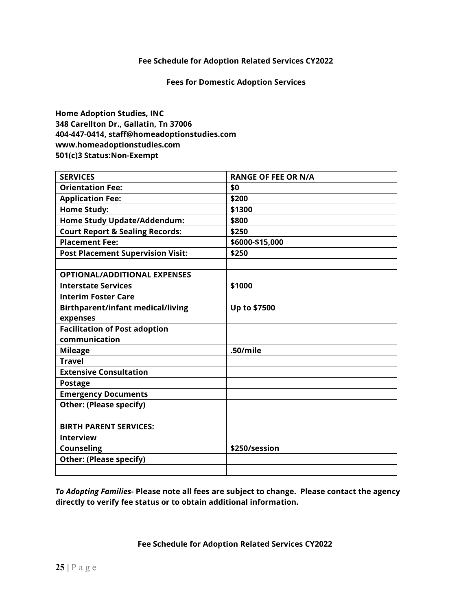**Fees for Domestic Adoption Services**

**Home Adoption Studies, INC 348 Carellton Dr., Gallatin, Tn 37006 404-447-0414, staff@homeadoptionstudies.com www.homeadoptionstudies.com 501(c)3 Status:Non-Exempt** 

| <b>SERVICES</b>                            | <b>RANGE OF FEE OR N/A</b> |
|--------------------------------------------|----------------------------|
| <b>Orientation Fee:</b>                    | \$0                        |
| <b>Application Fee:</b>                    | \$200                      |
| <b>Home Study:</b>                         | \$1300                     |
| Home Study Update/Addendum:                | \$800                      |
| <b>Court Report &amp; Sealing Records:</b> | \$250                      |
| <b>Placement Fee:</b>                      | \$6000-\$15,000            |
| <b>Post Placement Supervision Visit:</b>   | \$250                      |
|                                            |                            |
| <b>OPTIONAL/ADDITIONAL EXPENSES</b>        |                            |
| <b>Interstate Services</b>                 | \$1000                     |
| <b>Interim Foster Care</b>                 |                            |
| <b>Birthparent/infant medical/living</b>   | Up to \$7500               |
| expenses                                   |                            |
| <b>Facilitation of Post adoption</b>       |                            |
| communication                              |                            |
| <b>Mileage</b>                             | .50/mile                   |
| <b>Travel</b>                              |                            |
| <b>Extensive Consultation</b>              |                            |
| <b>Postage</b>                             |                            |
| <b>Emergency Documents</b>                 |                            |
| <b>Other: (Please specify)</b>             |                            |
|                                            |                            |
| <b>BIRTH PARENT SERVICES:</b>              |                            |
| <b>Interview</b>                           |                            |
| <b>Counseling</b>                          | \$250/session              |
| <b>Other: (Please specify)</b>             |                            |
|                                            |                            |

*To Adopting Families***- Please note all fees are subject to change. Please contact the agency directly to verify fee status or to obtain additional information.**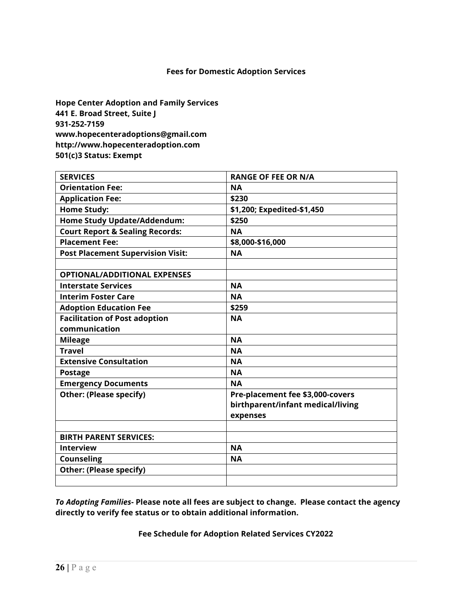#### **Hope Center Adoption and Family Services 441 E. Broad Street, Suite J 931-252-7159 www.hopecenteradoptions@gmail.com http://www.hopecenteradoption.com 501(c)3 Status: Exempt**

| <b>SERVICES</b>                            | <b>RANGE OF FEE OR N/A</b>        |
|--------------------------------------------|-----------------------------------|
| <b>Orientation Fee:</b>                    | <b>NA</b>                         |
| <b>Application Fee:</b>                    | \$230                             |
| <b>Home Study:</b>                         | \$1,200; Expedited-\$1,450        |
| Home Study Update/Addendum:                | \$250                             |
| <b>Court Report &amp; Sealing Records:</b> | <b>NA</b>                         |
| <b>Placement Fee:</b>                      | \$8,000-\$16,000                  |
| <b>Post Placement Supervision Visit:</b>   | <b>NA</b>                         |
|                                            |                                   |
| <b>OPTIONAL/ADDITIONAL EXPENSES</b>        |                                   |
| <b>Interstate Services</b>                 | <b>NA</b>                         |
| <b>Interim Foster Care</b>                 | <b>NA</b>                         |
| <b>Adoption Education Fee</b>              | \$259                             |
| <b>Facilitation of Post adoption</b>       | <b>NA</b>                         |
| communication                              |                                   |
| <b>Mileage</b>                             | <b>NA</b>                         |
| <b>Travel</b>                              | <b>NA</b>                         |
| <b>Extensive Consultation</b>              | <b>NA</b>                         |
| <b>Postage</b>                             | <b>NA</b>                         |
| <b>Emergency Documents</b>                 | <b>NA</b>                         |
| <b>Other: (Please specify)</b>             | Pre-placement fee \$3,000-covers  |
|                                            | birthparent/infant medical/living |
|                                            | expenses                          |
|                                            |                                   |
| <b>BIRTH PARENT SERVICES:</b>              |                                   |
| <b>Interview</b>                           | <b>NA</b>                         |
| <b>Counseling</b>                          | <b>NA</b>                         |
| <b>Other: (Please specify)</b>             |                                   |
|                                            |                                   |

*To Adopting Families***- Please note all fees are subject to change. Please contact the agency directly to verify fee status or to obtain additional information.**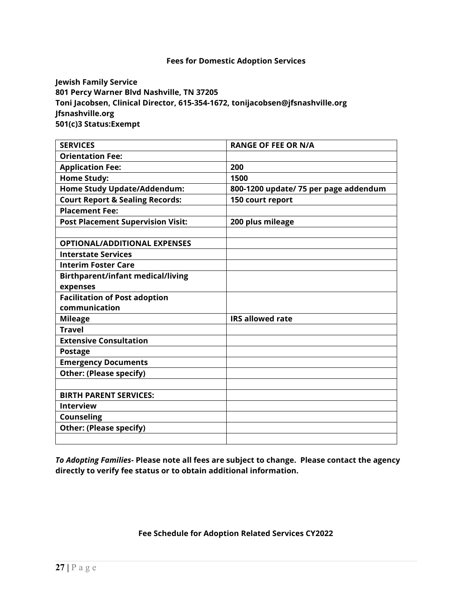**Jewish Family Service 801 Percy Warner Blvd Nashville, TN 37205 Toni Jacobsen, Clinical Director, 615-354-1672, tonijacobsen@jfsnashville.org Jfsnashville.org 501(c)3 Status:Exempt** 

| <b>SERVICES</b>                            | <b>RANGE OF FEE OR N/A</b>            |  |
|--------------------------------------------|---------------------------------------|--|
| <b>Orientation Fee:</b>                    |                                       |  |
| <b>Application Fee:</b>                    | 200                                   |  |
| <b>Home Study:</b>                         | 1500                                  |  |
| Home Study Update/Addendum:                | 800-1200 update/ 75 per page addendum |  |
| <b>Court Report &amp; Sealing Records:</b> | 150 court report                      |  |
| <b>Placement Fee:</b>                      |                                       |  |
| <b>Post Placement Supervision Visit:</b>   | 200 plus mileage                      |  |
|                                            |                                       |  |
| <b>OPTIONAL/ADDITIONAL EXPENSES</b>        |                                       |  |
| <b>Interstate Services</b>                 |                                       |  |
| <b>Interim Foster Care</b>                 |                                       |  |
| <b>Birthparent/infant medical/living</b>   |                                       |  |
| expenses                                   |                                       |  |
| <b>Facilitation of Post adoption</b>       |                                       |  |
| communication                              |                                       |  |
| <b>Mileage</b>                             | <b>IRS allowed rate</b>               |  |
| <b>Travel</b>                              |                                       |  |
| <b>Extensive Consultation</b>              |                                       |  |
| <b>Postage</b>                             |                                       |  |
| <b>Emergency Documents</b>                 |                                       |  |
| <b>Other: (Please specify)</b>             |                                       |  |
|                                            |                                       |  |
| <b>BIRTH PARENT SERVICES:</b>              |                                       |  |
| <b>Interview</b>                           |                                       |  |
| <b>Counseling</b>                          |                                       |  |
| <b>Other: (Please specify)</b>             |                                       |  |
|                                            |                                       |  |

*To Adopting Families***- Please note all fees are subject to change. Please contact the agency directly to verify fee status or to obtain additional information.**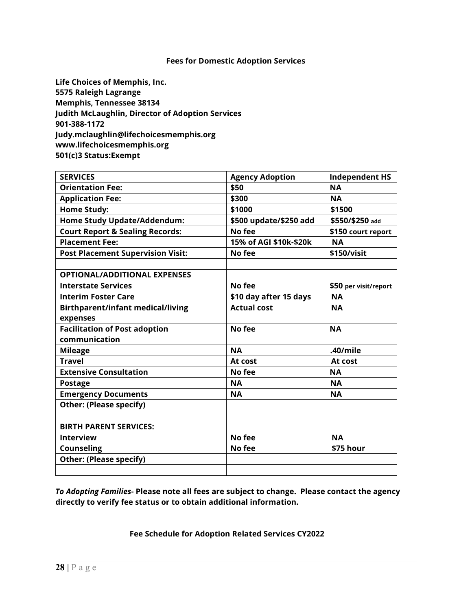**Life Choices of Memphis, Inc. 5575 Raleigh Lagrange Memphis, Tennessee 38134 Judith McLaughlin, Director of Adoption Services 901-388-1172 Judy.mclaughlin@lifechoicesmemphis.org www.lifechoicesmemphis.org 501(c)3 Status:Exempt** 

| <b>SERVICES</b>                            | <b>Agency Adoption</b> | <b>Independent HS</b> |
|--------------------------------------------|------------------------|-----------------------|
| <b>Orientation Fee:</b>                    | \$50                   | <b>NA</b>             |
| <b>Application Fee:</b>                    | \$300                  | <b>NA</b>             |
| <b>Home Study:</b>                         | \$1000                 | \$1500                |
| <b>Home Study Update/Addendum:</b>         | \$500 update/\$250 add | \$550/\$250 add       |
| <b>Court Report &amp; Sealing Records:</b> | No fee                 | \$150 court report    |
| <b>Placement Fee:</b>                      | 15% of AGI \$10k-\$20k | <b>NA</b>             |
| <b>Post Placement Supervision Visit:</b>   | No fee                 | \$150/visit           |
|                                            |                        |                       |
| <b>OPTIONAL/ADDITIONAL EXPENSES</b>        |                        |                       |
| <b>Interstate Services</b>                 | No fee                 | \$50 per visit/report |
| <b>Interim Foster Care</b>                 | \$10 day after 15 days | <b>NA</b>             |
| <b>Birthparent/infant medical/living</b>   | <b>Actual cost</b>     | <b>NA</b>             |
| expenses                                   |                        |                       |
| <b>Facilitation of Post adoption</b>       | No fee                 | <b>NA</b>             |
| communication                              |                        |                       |
| <b>Mileage</b>                             | <b>NA</b>              | .40/mile              |
| <b>Travel</b>                              | At cost                | At cost               |
| <b>Extensive Consultation</b>              | No fee                 | <b>NA</b>             |
| <b>Postage</b>                             | <b>NA</b>              | <b>NA</b>             |
| <b>Emergency Documents</b>                 | <b>NA</b>              | <b>NA</b>             |
| <b>Other: (Please specify)</b>             |                        |                       |
|                                            |                        |                       |
| <b>BIRTH PARENT SERVICES:</b>              |                        |                       |
| <b>Interview</b>                           | No fee                 | <b>NA</b>             |
| <b>Counseling</b>                          | No fee                 | \$75 hour             |
| <b>Other: (Please specify)</b>             |                        |                       |
|                                            |                        |                       |

*To Adopting Families***- Please note all fees are subject to change. Please contact the agency directly to verify fee status or to obtain additional information.**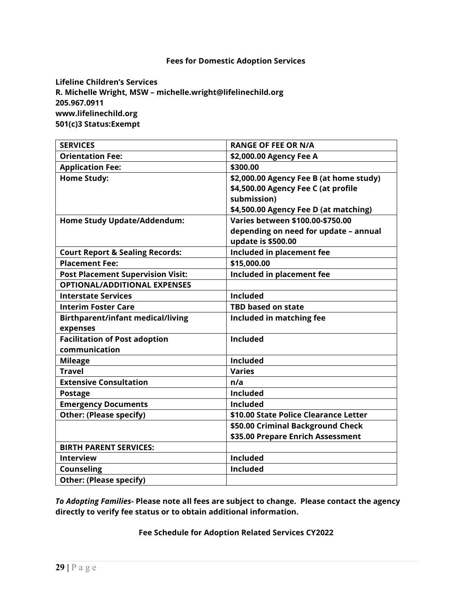**Lifeline Children's Services R. Michelle Wright, MSW – michelle.wright@lifelinechild.org 205.967.0911 www.lifelinechild.org 501(c)3 Status:Exempt** 

| <b>SERVICES</b>                            | <b>RANGE OF FEE OR N/A</b>              |
|--------------------------------------------|-----------------------------------------|
| <b>Orientation Fee:</b>                    | \$2,000.00 Agency Fee A                 |
| <b>Application Fee:</b>                    | \$300.00                                |
| <b>Home Study:</b>                         | \$2,000.00 Agency Fee B (at home study) |
|                                            | \$4,500.00 Agency Fee C (at profile     |
|                                            | submission)                             |
|                                            | \$4,500.00 Agency Fee D (at matching)   |
| <b>Home Study Update/Addendum:</b>         | Varies between \$100.00-\$750.00        |
|                                            | depending on need for update - annual   |
|                                            | update is \$500.00                      |
| <b>Court Report &amp; Sealing Records:</b> | Included in placement fee               |
| <b>Placement Fee:</b>                      | \$15,000.00                             |
| <b>Post Placement Supervision Visit:</b>   | Included in placement fee               |
| <b>OPTIONAL/ADDITIONAL EXPENSES</b>        |                                         |
| <b>Interstate Services</b>                 | <b>Included</b>                         |
| <b>Interim Foster Care</b>                 | <b>TBD based on state</b>               |
| <b>Birthparent/infant medical/living</b>   | Included in matching fee                |
| expenses                                   |                                         |
| <b>Facilitation of Post adoption</b>       | <b>Included</b>                         |
| communication                              |                                         |
| <b>Mileage</b>                             | <b>Included</b>                         |
| <b>Travel</b>                              | <b>Varies</b>                           |
| <b>Extensive Consultation</b>              | n/a                                     |
| <b>Postage</b>                             | <b>Included</b>                         |
| <b>Emergency Documents</b>                 | <b>Included</b>                         |
| <b>Other: (Please specify)</b>             | \$10.00 State Police Clearance Letter   |
|                                            | \$50.00 Criminal Background Check       |
|                                            | \$35.00 Prepare Enrich Assessment       |
| <b>BIRTH PARENT SERVICES:</b>              |                                         |
| <b>Interview</b>                           | <b>Included</b>                         |
| <b>Counseling</b>                          | <b>Included</b>                         |
| <b>Other: (Please specify)</b>             |                                         |

*To Adopting Families***- Please note all fees are subject to change. Please contact the agency directly to verify fee status or to obtain additional information.**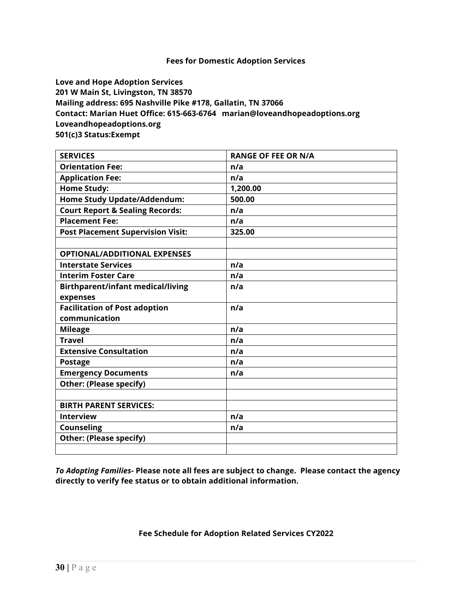**Love and Hope Adoption Services 201 W Main St, Livingston, TN 38570 Mailing address: 695 Nashville Pike #178, Gallatin, TN 37066 Contact: Marian Huet Office: 615-663-6764 marian@loveandhopeadoptions.org Loveandhopeadoptions.org 501(c)3 Status:Exempt** 

| <b>SERVICES</b>                            | <b>RANGE OF FEE OR N/A</b> |
|--------------------------------------------|----------------------------|
| <b>Orientation Fee:</b>                    | n/a                        |
| <b>Application Fee:</b>                    | n/a                        |
| <b>Home Study:</b>                         | 1,200.00                   |
| <b>Home Study Update/Addendum:</b>         | 500.00                     |
| <b>Court Report &amp; Sealing Records:</b> | n/a                        |
| <b>Placement Fee:</b>                      | n/a                        |
| <b>Post Placement Supervision Visit:</b>   | 325.00                     |
|                                            |                            |
| <b>OPTIONAL/ADDITIONAL EXPENSES</b>        |                            |
| <b>Interstate Services</b>                 | n/a                        |
| <b>Interim Foster Care</b>                 | n/a                        |
| <b>Birthparent/infant medical/living</b>   | n/a                        |
| expenses                                   |                            |
| <b>Facilitation of Post adoption</b>       | n/a                        |
| communication                              |                            |
| <b>Mileage</b>                             | n/a                        |
| <b>Travel</b>                              | n/a                        |
| <b>Extensive Consultation</b>              | n/a                        |
| <b>Postage</b>                             | n/a                        |
| <b>Emergency Documents</b>                 | n/a                        |
| <b>Other: (Please specify)</b>             |                            |
|                                            |                            |
| <b>BIRTH PARENT SERVICES:</b>              |                            |
| <b>Interview</b>                           | n/a                        |
| Counseling                                 | n/a                        |
| <b>Other: (Please specify)</b>             |                            |
|                                            |                            |

*To Adopting Families***- Please note all fees are subject to change. Please contact the agency directly to verify fee status or to obtain additional information.**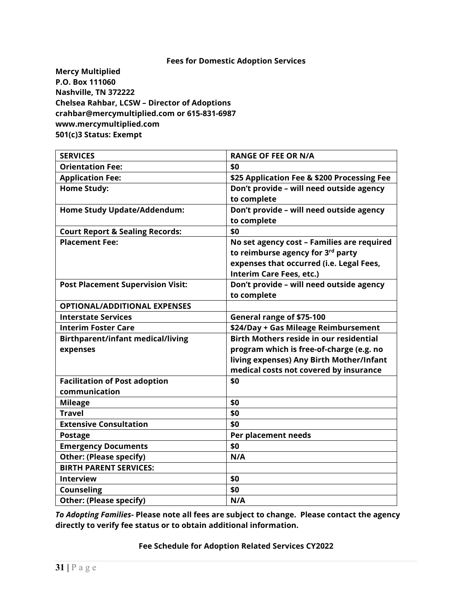**Mercy Multiplied P.O. Box 111060 Nashville, TN 372222 Chelsea Rahbar, LCSW – Director of Adoptions [crahbar@mercymultiplied.com](mailto:crahbar@mercymultiplied.com) or 615-831-6987 [www.mercymultiplied.com](http://www.mercymultiplied.com/) 501(c)3 Status: Exempt** 

| <b>SERVICES</b>                            | <b>RANGE OF FEE OR N/A</b>                     |
|--------------------------------------------|------------------------------------------------|
| <b>Orientation Fee:</b>                    | \$0                                            |
| <b>Application Fee:</b>                    | \$25 Application Fee & \$200 Processing Fee    |
| <b>Home Study:</b>                         | Don't provide - will need outside agency       |
|                                            | to complete                                    |
| Home Study Update/Addendum:                | Don't provide - will need outside agency       |
|                                            | to complete                                    |
| <b>Court Report &amp; Sealing Records:</b> | \$0                                            |
| <b>Placement Fee:</b>                      | No set agency cost - Families are required     |
|                                            | to reimburse agency for 3rd party              |
|                                            | expenses that occurred (i.e. Legal Fees,       |
|                                            | Interim Care Fees, etc.)                       |
| <b>Post Placement Supervision Visit:</b>   | Don't provide - will need outside agency       |
|                                            | to complete                                    |
| <b>OPTIONAL/ADDITIONAL EXPENSES</b>        |                                                |
| <b>Interstate Services</b>                 | General range of \$75-100                      |
| <b>Interim Foster Care</b>                 | \$24/Day + Gas Mileage Reimbursement           |
| <b>Birthparent/infant medical/living</b>   | <b>Birth Mothers reside in our residential</b> |
| expenses                                   | program which is free-of-charge (e.g. no       |
|                                            | living expenses) Any Birth Mother/Infant       |
|                                            | medical costs not covered by insurance         |
| <b>Facilitation of Post adoption</b>       | \$0                                            |
| communication                              |                                                |
| <b>Mileage</b>                             | \$0                                            |
| <b>Travel</b>                              | \$0                                            |
| <b>Extensive Consultation</b>              | \$0                                            |
| <b>Postage</b>                             | Per placement needs                            |
| <b>Emergency Documents</b>                 | \$0                                            |
| <b>Other: (Please specify)</b>             | N/A                                            |
| <b>BIRTH PARENT SERVICES:</b>              |                                                |
| <b>Interview</b>                           | \$0                                            |
| <b>Counseling</b>                          | \$0                                            |
| <b>Other: (Please specify)</b>             | N/A                                            |

*To Adopting Families***- Please note all fees are subject to change. Please contact the agency directly to verify fee status or to obtain additional information.**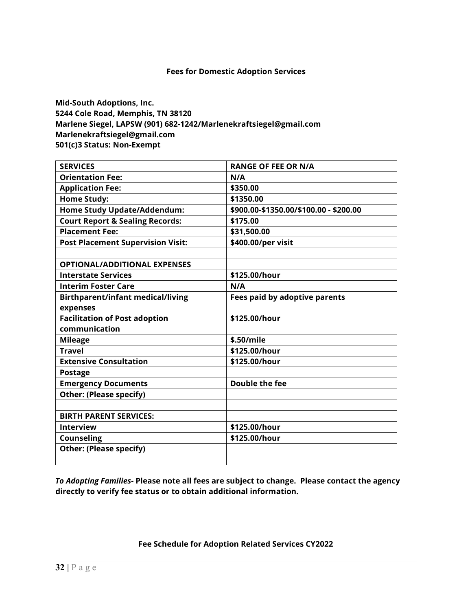**Mid-South Adoptions, Inc. 5244 Cole Road, Memphis, TN 38120 Marlene Siegel, LAPSW (901) 682-1242/Marlenekraftsiegel@gmail.com Marlenekraftsiegel@gmail.com 501(c)3 Status: Non-Exempt** 

| <b>SERVICES</b>                            | <b>RANGE OF FEE OR N/A</b>             |
|--------------------------------------------|----------------------------------------|
| <b>Orientation Fee:</b>                    | N/A                                    |
| <b>Application Fee:</b>                    | \$350.00                               |
| <b>Home Study:</b>                         | \$1350.00                              |
| Home Study Update/Addendum:                | \$900.00-\$1350.00/\$100.00 - \$200.00 |
| <b>Court Report &amp; Sealing Records:</b> | \$175.00                               |
| <b>Placement Fee:</b>                      | \$31,500.00                            |
| <b>Post Placement Supervision Visit:</b>   | \$400.00/per visit                     |
|                                            |                                        |
| <b>OPTIONAL/ADDITIONAL EXPENSES</b>        |                                        |
| <b>Interstate Services</b>                 | \$125.00/hour                          |
| <b>Interim Foster Care</b>                 | N/A                                    |
| <b>Birthparent/infant medical/living</b>   | <b>Fees paid by adoptive parents</b>   |
| expenses                                   |                                        |
| <b>Facilitation of Post adoption</b>       | \$125.00/hour                          |
| communication                              |                                        |
| <b>Mileage</b>                             | \$.50/mile                             |
| <b>Travel</b>                              | \$125.00/hour                          |
| <b>Extensive Consultation</b>              | \$125.00/hour                          |
| <b>Postage</b>                             |                                        |
| <b>Emergency Documents</b>                 | Double the fee                         |
| <b>Other: (Please specify)</b>             |                                        |
|                                            |                                        |
| <b>BIRTH PARENT SERVICES:</b>              |                                        |
| <b>Interview</b>                           | \$125.00/hour                          |
| <b>Counseling</b>                          | \$125.00/hour                          |
| <b>Other: (Please specify)</b>             |                                        |
|                                            |                                        |

*To Adopting Families***- Please note all fees are subject to change. Please contact the agency directly to verify fee status or to obtain additional information.**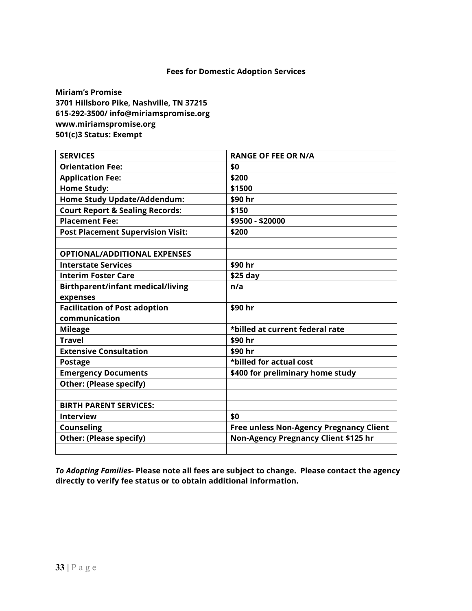**Miriam's Promise 3701 Hillsboro Pike, Nashville, TN 37215 615-292-3500/ info@miriamspromise.org www.miriamspromise.org 501(c)3 Status: Exempt**

| <b>SERVICES</b>                            | <b>RANGE OF FEE OR N/A</b>                     |
|--------------------------------------------|------------------------------------------------|
| <b>Orientation Fee:</b>                    | \$0                                            |
| <b>Application Fee:</b>                    | \$200                                          |
| <b>Home Study:</b>                         | \$1500                                         |
| <b>Home Study Update/Addendum:</b>         | \$90 hr                                        |
| <b>Court Report &amp; Sealing Records:</b> | \$150                                          |
| <b>Placement Fee:</b>                      | \$9500 - \$20000                               |
| <b>Post Placement Supervision Visit:</b>   | \$200                                          |
|                                            |                                                |
| <b>OPTIONAL/ADDITIONAL EXPENSES</b>        |                                                |
| <b>Interstate Services</b>                 | \$90 hr                                        |
| <b>Interim Foster Care</b>                 | $$25$ day                                      |
| <b>Birthparent/infant medical/living</b>   | n/a                                            |
| expenses                                   |                                                |
| <b>Facilitation of Post adoption</b>       | \$90 hr                                        |
| communication                              |                                                |
| <b>Mileage</b>                             | *billed at current federal rate                |
| <b>Travel</b>                              | \$90 hr                                        |
| <b>Extensive Consultation</b>              | \$90 hr                                        |
| <b>Postage</b>                             | *billed for actual cost                        |
| <b>Emergency Documents</b>                 | \$400 for preliminary home study               |
| <b>Other: (Please specify)</b>             |                                                |
|                                            |                                                |
| <b>BIRTH PARENT SERVICES:</b>              |                                                |
| <b>Interview</b>                           | \$0                                            |
| <b>Counseling</b>                          | <b>Free unless Non-Agency Pregnancy Client</b> |
| <b>Other: (Please specify)</b>             | Non-Agency Pregnancy Client \$125 hr           |
|                                            |                                                |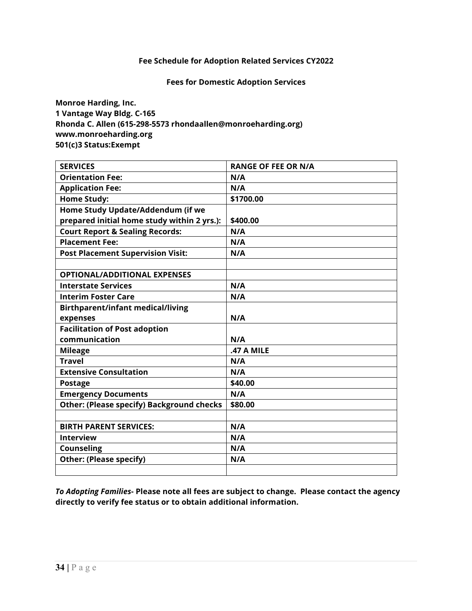#### **Fees for Domestic Adoption Services**

**Monroe Harding, Inc. 1 Vantage Way Bldg. C-165 Rhonda C. Allen (615-298-5573 rhondaallen@monroeharding.org) www.monroeharding.org 501(c)3 Status:Exempt** 

| <b>SERVICES</b>                                  | <b>RANGE OF FEE OR N/A</b> |
|--------------------------------------------------|----------------------------|
| <b>Orientation Fee:</b>                          | N/A                        |
| <b>Application Fee:</b>                          | N/A                        |
| <b>Home Study:</b>                               | \$1700.00                  |
| Home Study Update/Addendum (if we                |                            |
| prepared initial home study within 2 yrs.):      | \$400.00                   |
| <b>Court Report &amp; Sealing Records:</b>       | N/A                        |
| <b>Placement Fee:</b>                            | N/A                        |
| <b>Post Placement Supervision Visit:</b>         | N/A                        |
|                                                  |                            |
| <b>OPTIONAL/ADDITIONAL EXPENSES</b>              |                            |
| <b>Interstate Services</b>                       | N/A                        |
| <b>Interim Foster Care</b>                       | N/A                        |
| <b>Birthparent/infant medical/living</b>         |                            |
| expenses                                         | N/A                        |
| <b>Facilitation of Post adoption</b>             |                            |
| communication                                    | N/A                        |
| <b>Mileage</b>                                   | <b>.47 A MILE</b>          |
| <b>Travel</b>                                    | N/A                        |
| <b>Extensive Consultation</b>                    | N/A                        |
| <b>Postage</b>                                   | \$40.00                    |
| <b>Emergency Documents</b>                       | N/A                        |
| <b>Other: (Please specify) Background checks</b> | \$80.00                    |
|                                                  |                            |
| <b>BIRTH PARENT SERVICES:</b>                    | N/A                        |
| <b>Interview</b>                                 | N/A                        |
| <b>Counseling</b>                                | N/A                        |
| <b>Other: (Please specify)</b>                   | N/A                        |
|                                                  |                            |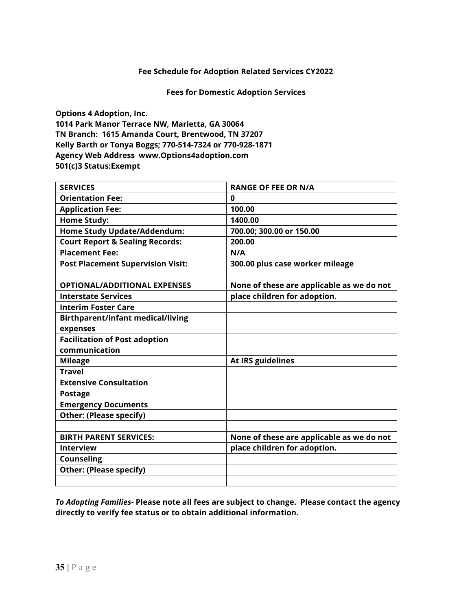#### **Fees for Domestic Adoption Services**

**Options 4 Adoption, Inc. 1014 Park Manor Terrace NW, Marietta, GA 30064 TN Branch: 1615 Amanda Court, Brentwood, TN 37207 Kelly Barth or Tonya Boggs; 770-514-7324 or 770-928-1871 Agency Web Address [www.Options4adoption.com](http://www.options4adoption.com/) 501(c)3 Status:Exempt**

| <b>SERVICES</b>                            | <b>RANGE OF FEE OR N/A</b>                |
|--------------------------------------------|-------------------------------------------|
| <b>Orientation Fee:</b>                    | 0                                         |
| <b>Application Fee:</b>                    | 100.00                                    |
| <b>Home Study:</b>                         | 1400.00                                   |
| Home Study Update/Addendum:                | 700.00; 300.00 or 150.00                  |
| <b>Court Report &amp; Sealing Records:</b> | 200.00                                    |
| <b>Placement Fee:</b>                      | N/A                                       |
| <b>Post Placement Supervision Visit:</b>   | 300.00 plus case worker mileage           |
|                                            |                                           |
| <b>OPTIONAL/ADDITIONAL EXPENSES</b>        | None of these are applicable as we do not |
| <b>Interstate Services</b>                 | place children for adoption.              |
| <b>Interim Foster Care</b>                 |                                           |
| <b>Birthparent/infant medical/living</b>   |                                           |
| expenses                                   |                                           |
| <b>Facilitation of Post adoption</b>       |                                           |
| communication                              |                                           |
| <b>Mileage</b>                             | At IRS guidelines                         |
| <b>Travel</b>                              |                                           |
| <b>Extensive Consultation</b>              |                                           |
| <b>Postage</b>                             |                                           |
| <b>Emergency Documents</b>                 |                                           |
| <b>Other: (Please specify)</b>             |                                           |
|                                            |                                           |
| <b>BIRTH PARENT SERVICES:</b>              | None of these are applicable as we do not |
| <b>Interview</b>                           | place children for adoption.              |
| <b>Counseling</b>                          |                                           |
| <b>Other: (Please specify)</b>             |                                           |
|                                            |                                           |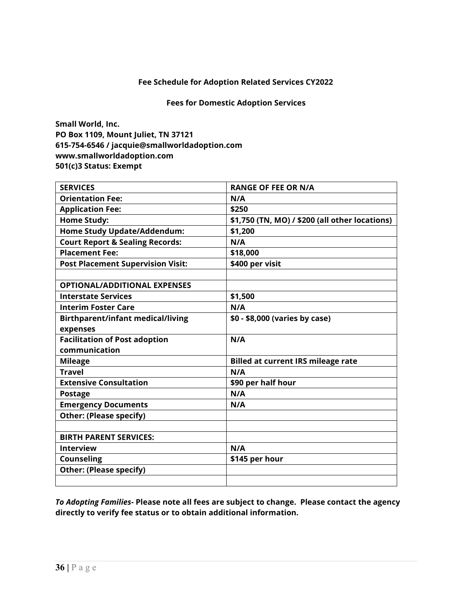#### **Fees for Domestic Adoption Services**

**Small World, Inc. PO Box 1109, Mount Juliet, TN 37121 615-754-6546 / jacquie@smallworldadoption.com www.smallworldadoption.com 501(c)3 Status: Exempt** 

| <b>SERVICES</b>                            | <b>RANGE OF FEE OR N/A</b>                     |
|--------------------------------------------|------------------------------------------------|
| <b>Orientation Fee:</b>                    | N/A                                            |
| <b>Application Fee:</b>                    | \$250                                          |
| <b>Home Study:</b>                         | \$1,750 (TN, MO) / \$200 (all other locations) |
| <b>Home Study Update/Addendum:</b>         | \$1,200                                        |
| <b>Court Report &amp; Sealing Records:</b> | N/A                                            |
| <b>Placement Fee:</b>                      | \$18,000                                       |
| <b>Post Placement Supervision Visit:</b>   | \$400 per visit                                |
|                                            |                                                |
| <b>OPTIONAL/ADDITIONAL EXPENSES</b>        |                                                |
| <b>Interstate Services</b>                 | \$1,500                                        |
| <b>Interim Foster Care</b>                 | N/A                                            |
| <b>Birthparent/infant medical/living</b>   | \$0 - \$8,000 (varies by case)                 |
| expenses                                   |                                                |
| <b>Facilitation of Post adoption</b>       | N/A                                            |
| communication                              |                                                |
| <b>Mileage</b>                             | <b>Billed at current IRS mileage rate</b>      |
| <b>Travel</b>                              | N/A                                            |
| <b>Extensive Consultation</b>              | \$90 per half hour                             |
| <b>Postage</b>                             | N/A                                            |
| <b>Emergency Documents</b>                 | N/A                                            |
| <b>Other: (Please specify)</b>             |                                                |
|                                            |                                                |
| <b>BIRTH PARENT SERVICES:</b>              |                                                |
| <b>Interview</b>                           | N/A                                            |
| <b>Counseling</b>                          | \$145 per hour                                 |
| <b>Other: (Please specify)</b>             |                                                |
|                                            |                                                |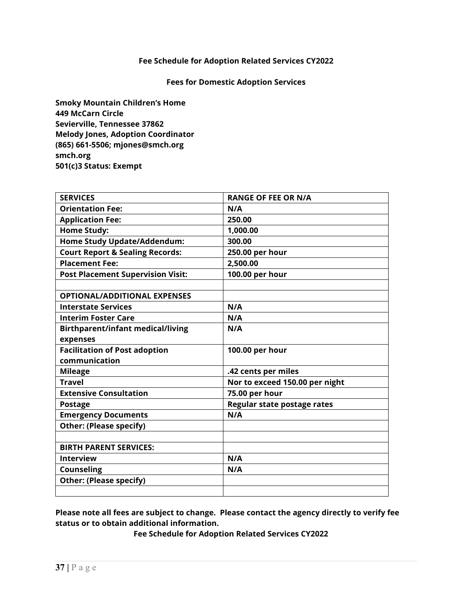#### **Fees for Domestic Adoption Services**

**Smoky Mountain Children's Home 449 McCarn Circle Sevierville, Tennessee 37862 Melody Jones, Adoption Coordinator (865) 661-5506; mjones@smch.org smch.org 501(c)3 Status: Exempt**

| <b>SERVICES</b>                            | <b>RANGE OF FEE OR N/A</b>     |
|--------------------------------------------|--------------------------------|
| <b>Orientation Fee:</b>                    | N/A                            |
| <b>Application Fee:</b>                    | 250.00                         |
| <b>Home Study:</b>                         | 1,000.00                       |
| <b>Home Study Update/Addendum:</b>         | 300.00                         |
| <b>Court Report &amp; Sealing Records:</b> | 250.00 per hour                |
| <b>Placement Fee:</b>                      | 2,500.00                       |
| <b>Post Placement Supervision Visit:</b>   | 100.00 per hour                |
|                                            |                                |
| <b>OPTIONAL/ADDITIONAL EXPENSES</b>        |                                |
| <b>Interstate Services</b>                 | N/A                            |
| <b>Interim Foster Care</b>                 | N/A                            |
| <b>Birthparent/infant medical/living</b>   | N/A                            |
| expenses                                   |                                |
| <b>Facilitation of Post adoption</b>       | 100.00 per hour                |
|                                            |                                |
| communication                              |                                |
| <b>Mileage</b>                             | .42 cents per miles            |
| <b>Travel</b>                              | Nor to exceed 150.00 per night |
| <b>Extensive Consultation</b>              | 75.00 per hour                 |
| <b>Postage</b>                             | Regular state postage rates    |
| <b>Emergency Documents</b>                 | N/A                            |
| <b>Other: (Please specify)</b>             |                                |
|                                            |                                |
| <b>BIRTH PARENT SERVICES:</b>              |                                |
| <b>Interview</b>                           | N/A                            |
| <b>Counseling</b>                          | N/A                            |
| <b>Other: (Please specify)</b>             |                                |

**Please note all fees are subject to change. Please contact the agency directly to verify fee status or to obtain additional information.**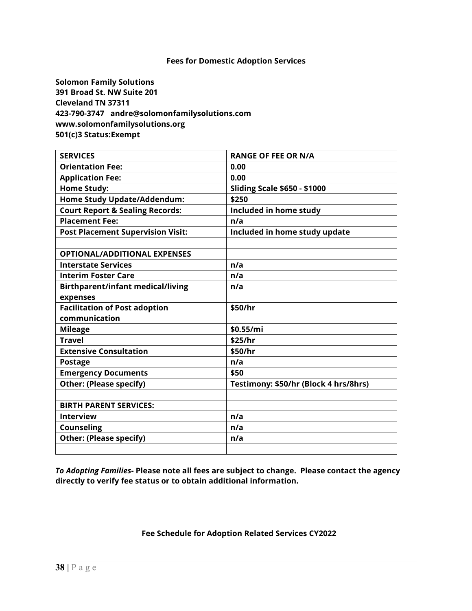**Solomon Family Solutions 391 Broad St. NW Suite 201 Cleveland TN 37311 423-790-3747 andre@solomonfamilysolutions.com www.solomonfamilysolutions.org 501(c)3 Status:Exempt** 

| <b>SERVICES</b>                            | <b>RANGE OF FEE OR N/A</b>            |
|--------------------------------------------|---------------------------------------|
| <b>Orientation Fee:</b>                    | 0.00                                  |
| <b>Application Fee:</b>                    | 0.00                                  |
| <b>Home Study:</b>                         | <b>Sliding Scale \$650 - \$1000</b>   |
| <b>Home Study Update/Addendum:</b>         | \$250                                 |
| <b>Court Report &amp; Sealing Records:</b> | Included in home study                |
| <b>Placement Fee:</b>                      | n/a                                   |
| <b>Post Placement Supervision Visit:</b>   | Included in home study update         |
|                                            |                                       |
| <b>OPTIONAL/ADDITIONAL EXPENSES</b>        |                                       |
| <b>Interstate Services</b>                 | n/a                                   |
| <b>Interim Foster Care</b>                 | n/a                                   |
| <b>Birthparent/infant medical/living</b>   | n/a                                   |
| expenses                                   |                                       |
| <b>Facilitation of Post adoption</b>       | \$50/hr                               |
| communication                              |                                       |
| <b>Mileage</b>                             | \$0.55/mi                             |
| <b>Travel</b>                              | \$25/hr                               |
| <b>Extensive Consultation</b>              | \$50/hr                               |
| <b>Postage</b>                             | n/a                                   |
| <b>Emergency Documents</b>                 | \$50                                  |
| <b>Other: (Please specify)</b>             | Testimony: \$50/hr (Block 4 hrs/8hrs) |
|                                            |                                       |
| <b>BIRTH PARENT SERVICES:</b>              |                                       |
| <b>Interview</b>                           | n/a                                   |
| <b>Counseling</b>                          | n/a                                   |
| <b>Other: (Please specify)</b>             | n/a                                   |
|                                            |                                       |

*To Adopting Families***- Please note all fees are subject to change. Please contact the agency directly to verify fee status or to obtain additional information.**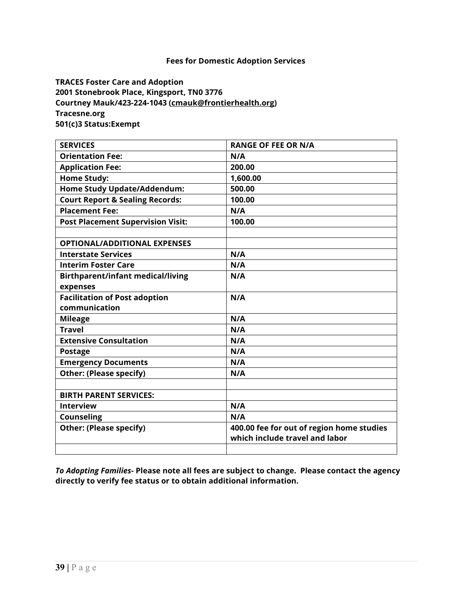**TRACES Foster Care and Adoption 2001 Stonebrook Place, Kingsport, TN0 3776 Courtney Mauk/423-224-1043 [\(cmauk@frontierhealth.org\)](mailto:cmauk@frontierhealth.org) Tracesne.org 501(c)3 Status:Exempt**

| <b>SERVICES</b>                            | <b>RANGE OF FEE OR N/A</b>                |
|--------------------------------------------|-------------------------------------------|
| <b>Orientation Fee:</b>                    | N/A                                       |
| <b>Application Fee:</b>                    | 200.00                                    |
| <b>Home Study:</b>                         | 1,600.00                                  |
| Home Study Update/Addendum:                | 500.00                                    |
| <b>Court Report &amp; Sealing Records:</b> | 100.00                                    |
| <b>Placement Fee:</b>                      | N/A                                       |
| <b>Post Placement Supervision Visit:</b>   | 100.00                                    |
|                                            |                                           |
| <b>OPTIONAL/ADDITIONAL EXPENSES</b>        |                                           |
| <b>Interstate Services</b>                 | N/A                                       |
| <b>Interim Foster Care</b>                 | N/A                                       |
| <b>Birthparent/infant medical/living</b>   | N/A                                       |
| expenses                                   |                                           |
| <b>Facilitation of Post adoption</b>       | N/A                                       |
| communication                              |                                           |
| <b>Mileage</b>                             | N/A                                       |
| <b>Travel</b>                              | N/A                                       |
| <b>Extensive Consultation</b>              | N/A                                       |
| <b>Postage</b>                             | N/A                                       |
| <b>Emergency Documents</b>                 | N/A                                       |
| <b>Other: (Please specify)</b>             | N/A                                       |
|                                            |                                           |
| <b>BIRTH PARENT SERVICES:</b>              |                                           |
| <b>Interview</b>                           | N/A                                       |
| <b>Counseling</b>                          | N/A                                       |
| <b>Other: (Please specify)</b>             | 400.00 fee for out of region home studies |
|                                            | which include travel and labor            |
|                                            |                                           |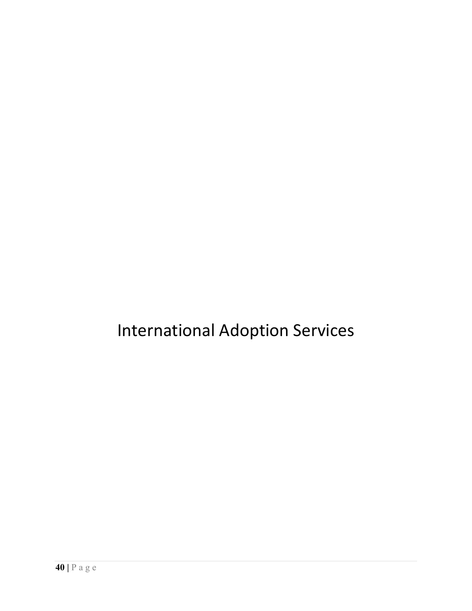### International Adoption Services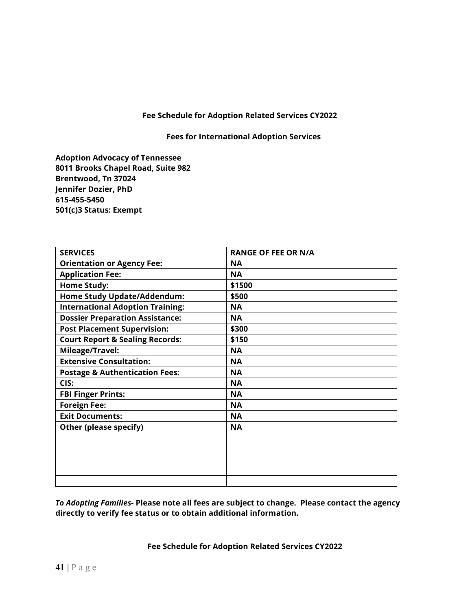**Fees for International Adoption Services**

**Adoption Advocacy of Tennessee 8011 Brooks Chapel Road, Suite 982 Brentwood, Tn 37024 Jennifer Dozier, PhD 615-455-5450 501(c)3 Status: Exempt**

| <b>SERVICES</b>                            | <b>RANGE OF FEE OR N/A</b> |
|--------------------------------------------|----------------------------|
| <b>Orientation or Agency Fee:</b>          | <b>NA</b>                  |
| <b>Application Fee:</b>                    | <b>NA</b>                  |
| <b>Home Study:</b>                         | \$1500                     |
| <b>Home Study Update/Addendum:</b>         | \$500                      |
| <b>International Adoption Training:</b>    | <b>NA</b>                  |
| <b>Dossier Preparation Assistance:</b>     | <b>NA</b>                  |
| <b>Post Placement Supervision:</b>         | \$300                      |
| <b>Court Report &amp; Sealing Records:</b> | \$150                      |
| Mileage/Travel:                            | <b>NA</b>                  |
| <b>Extensive Consultation:</b>             | <b>NA</b>                  |
| <b>Postage &amp; Authentication Fees:</b>  | <b>NA</b>                  |
| CIS:                                       | <b>NA</b>                  |
| <b>FBI Finger Prints:</b>                  | <b>NA</b>                  |
| <b>Foreign Fee:</b>                        | <b>NA</b>                  |
| <b>Exit Documents:</b>                     | <b>NA</b>                  |
| Other (please specify)                     | <b>NA</b>                  |
|                                            |                            |
|                                            |                            |
|                                            |                            |
|                                            |                            |
|                                            |                            |

*To Adopting Families***- Please note all fees are subject to change. Please contact the agency directly to verify fee status or to obtain additional information.**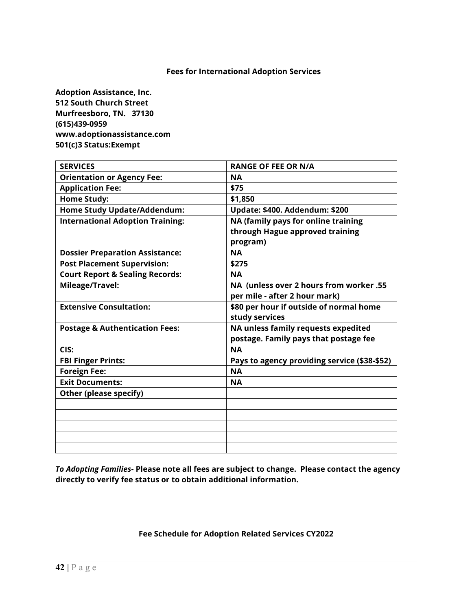**Adoption Assistance, Inc. 512 South Church Street Murfreesboro, TN. 37130 (615)439-0959 www.adoptionassistance.com 501(c)3 Status:Exempt** 

| <b>SERVICES</b>                            | <b>RANGE OF FEE OR N/A</b>                   |
|--------------------------------------------|----------------------------------------------|
| <b>Orientation or Agency Fee:</b>          | <b>NA</b>                                    |
| <b>Application Fee:</b>                    | \$75                                         |
| <b>Home Study:</b>                         | \$1,850                                      |
| Home Study Update/Addendum:                | Update: \$400. Addendum: \$200               |
| <b>International Adoption Training:</b>    | NA (family pays for online training          |
|                                            | through Hague approved training              |
|                                            | program)                                     |
| <b>Dossier Preparation Assistance:</b>     | <b>NA</b>                                    |
| <b>Post Placement Supervision:</b>         | \$275                                        |
| <b>Court Report &amp; Sealing Records:</b> | <b>NA</b>                                    |
| Mileage/Travel:                            | NA (unless over 2 hours from worker .55      |
|                                            | per mile - after 2 hour mark)                |
| <b>Extensive Consultation:</b>             | \$80 per hour if outside of normal home      |
|                                            | study services                               |
| <b>Postage &amp; Authentication Fees:</b>  | NA unless family requests expedited          |
|                                            | postage. Family pays that postage fee        |
| CIS:                                       | <b>NA</b>                                    |
| <b>FBI Finger Prints:</b>                  | Pays to agency providing service (\$38-\$52) |
| <b>Foreign Fee:</b>                        | <b>NA</b>                                    |
| <b>Exit Documents:</b>                     | <b>NA</b>                                    |
| Other (please specify)                     |                                              |
|                                            |                                              |
|                                            |                                              |
|                                            |                                              |
|                                            |                                              |
|                                            |                                              |

*To Adopting Families***- Please note all fees are subject to change. Please contact the agency directly to verify fee status or to obtain additional information.**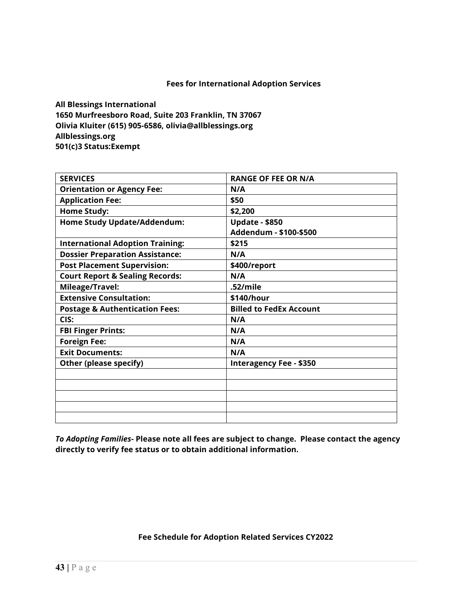**All Blessings International 1650 Murfreesboro Road, Suite 203 Franklin, TN 37067 Olivia Kluiter (615) 905-6586, olivia@allblessings.org Allblessings.org 501(c)3 Status:Exempt** 

| <b>SERVICES</b>                            | <b>RANGE OF FEE OR N/A</b>     |
|--------------------------------------------|--------------------------------|
| <b>Orientation or Agency Fee:</b>          | N/A                            |
| <b>Application Fee:</b>                    | \$50                           |
| <b>Home Study:</b>                         | \$2,200                        |
| <b>Home Study Update/Addendum:</b>         | <b>Update - \$850</b>          |
|                                            | Addendum - \$100-\$500         |
| <b>International Adoption Training:</b>    | \$215                          |
| <b>Dossier Preparation Assistance:</b>     | N/A                            |
| <b>Post Placement Supervision:</b>         | \$400/report                   |
| <b>Court Report &amp; Sealing Records:</b> | N/A                            |
| Mileage/Travel:                            | .52/mile                       |
| <b>Extensive Consultation:</b>             | \$140/hour                     |
| <b>Postage &amp; Authentication Fees:</b>  | <b>Billed to FedEx Account</b> |
| CIS:                                       | N/A                            |
| <b>FBI Finger Prints:</b>                  | N/A                            |
| <b>Foreign Fee:</b>                        | N/A                            |
| <b>Exit Documents:</b>                     | N/A                            |
| Other (please specify)                     | <b>Interagency Fee - \$350</b> |
|                                            |                                |
|                                            |                                |
|                                            |                                |
|                                            |                                |
|                                            |                                |

*To Adopting Families***- Please note all fees are subject to change. Please contact the agency directly to verify fee status or to obtain additional information.**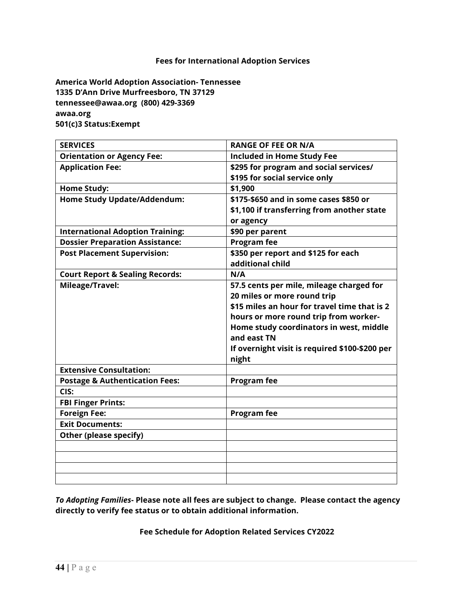**America World Adoption Association- Tennessee 1335 D'Ann Drive Murfreesboro, TN 37129 [tennessee@awaa.org](mailto:tennessee@awaa.org) (800) 429-3369 awaa.org 501(c)3 Status:Exempt** 

| <b>SERVICES</b>                            | <b>RANGE OF FEE OR N/A</b>                     |
|--------------------------------------------|------------------------------------------------|
| <b>Orientation or Agency Fee:</b>          | <b>Included in Home Study Fee</b>              |
| <b>Application Fee:</b>                    | \$295 for program and social services/         |
|                                            | \$195 for social service only                  |
| <b>Home Study:</b>                         | \$1,900                                        |
| <b>Home Study Update/Addendum:</b>         | \$175-\$650 and in some cases \$850 or         |
|                                            | \$1,100 if transferring from another state     |
|                                            | or agency                                      |
| <b>International Adoption Training:</b>    | \$90 per parent                                |
| <b>Dossier Preparation Assistance:</b>     | <b>Program fee</b>                             |
| <b>Post Placement Supervision:</b>         | \$350 per report and \$125 for each            |
|                                            | additional child                               |
| <b>Court Report &amp; Sealing Records:</b> | N/A                                            |
| Mileage/Travel:                            | 57.5 cents per mile, mileage charged for       |
|                                            | 20 miles or more round trip                    |
|                                            | \$15 miles an hour for travel time that is 2   |
|                                            | hours or more round trip from worker-          |
|                                            | Home study coordinators in west, middle        |
|                                            | and east TN                                    |
|                                            | If overnight visit is required \$100-\$200 per |
|                                            | night                                          |
| <b>Extensive Consultation:</b>             |                                                |
| <b>Postage &amp; Authentication Fees:</b>  | <b>Program fee</b>                             |
| CIS:                                       |                                                |
| <b>FBI Finger Prints:</b>                  |                                                |
| <b>Foreign Fee:</b>                        | <b>Program fee</b>                             |
| <b>Exit Documents:</b>                     |                                                |
| Other (please specify)                     |                                                |
|                                            |                                                |
|                                            |                                                |
|                                            |                                                |
|                                            |                                                |

*To Adopting Families***- Please note all fees are subject to change. Please contact the agency directly to verify fee status or to obtain additional information.**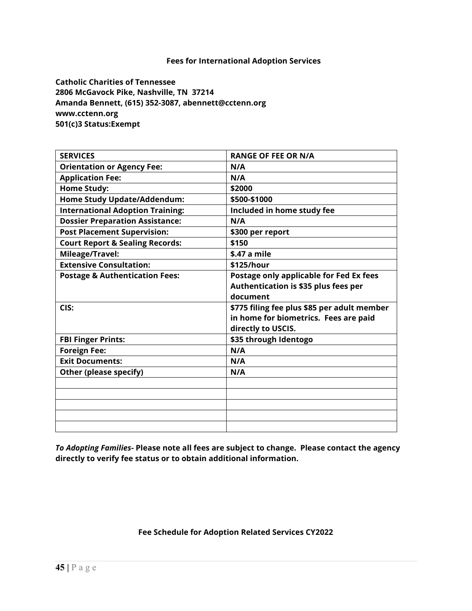**Catholic Charities of Tennessee 2806 McGavock Pike, Nashville, TN 37214 Amanda Bennett, (615) 352-3087, abennett@cctenn.org www.cctenn.org 501(c)3 Status:Exempt**

| <b>SERVICES</b>                            | <b>RANGE OF FEE OR N/A</b>                  |
|--------------------------------------------|---------------------------------------------|
| <b>Orientation or Agency Fee:</b>          | N/A                                         |
| <b>Application Fee:</b>                    | N/A                                         |
| <b>Home Study:</b>                         | \$2000                                      |
| <b>Home Study Update/Addendum:</b>         | \$500-\$1000                                |
| <b>International Adoption Training:</b>    | Included in home study fee                  |
| <b>Dossier Preparation Assistance:</b>     | N/A                                         |
| <b>Post Placement Supervision:</b>         | \$300 per report                            |
| <b>Court Report &amp; Sealing Records:</b> | \$150                                       |
| Mileage/Travel:                            | \$.47 a mile                                |
| <b>Extensive Consultation:</b>             | \$125/hour                                  |
| <b>Postage &amp; Authentication Fees:</b>  | Postage only applicable for Fed Ex fees     |
|                                            | Authentication is \$35 plus fees per        |
|                                            | document                                    |
| CIS:                                       | \$775 filing fee plus \$85 per adult member |
|                                            | in home for biometrics. Fees are paid       |
|                                            | directly to USCIS.                          |
| <b>FBI Finger Prints:</b>                  | \$35 through Identogo                       |
| <b>Foreign Fee:</b>                        | N/A                                         |
| <b>Exit Documents:</b>                     | N/A                                         |
| Other (please specify)                     | N/A                                         |
|                                            |                                             |
|                                            |                                             |
|                                            |                                             |
|                                            |                                             |
|                                            |                                             |

*To Adopting Families***- Please note all fees are subject to change. Please contact the agency directly to verify fee status or to obtain additional information.**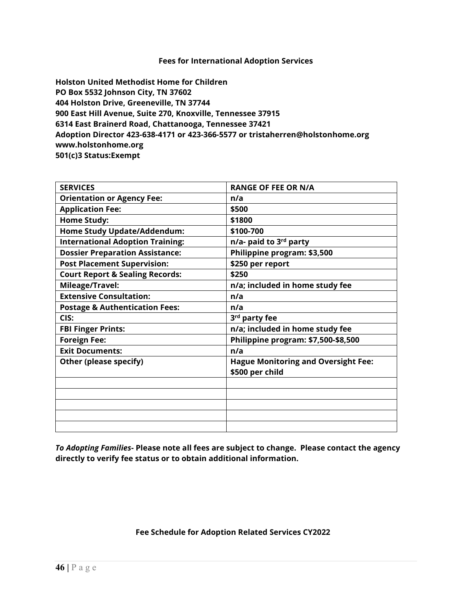**Holston United Methodist Home for Children PO Box 5532 Johnson City, TN 37602 404 Holston Drive, Greeneville, TN 37744 900 East Hill Avenue, Suite 270, Knoxville, Tennessee 37915 6314 East Brainerd Road, Chattanooga, Tennessee 37421 Adoption Director 423-638-4171 or 423-366-5577 or tristaherren@holstonhome.org [www.holstonhome.org](http://www.holstonhome.org/) 501(c)3 Status:Exempt**

| <b>SERVICES</b>                            | <b>RANGE OF FEE OR N/A</b>                 |
|--------------------------------------------|--------------------------------------------|
| <b>Orientation or Agency Fee:</b>          | n/a                                        |
| <b>Application Fee:</b>                    | \$500                                      |
| <b>Home Study:</b>                         | \$1800                                     |
| <b>Home Study Update/Addendum:</b>         | \$100-700                                  |
| <b>International Adoption Training:</b>    | n/a- paid to 3 <sup>rd</sup> party         |
| <b>Dossier Preparation Assistance:</b>     | Philippine program: \$3,500                |
| <b>Post Placement Supervision:</b>         | \$250 per report                           |
| <b>Court Report &amp; Sealing Records:</b> | \$250                                      |
| Mileage/Travel:                            | n/a; included in home study fee            |
| <b>Extensive Consultation:</b>             | n/a                                        |
| <b>Postage &amp; Authentication Fees:</b>  | n/a                                        |
| CIS:                                       | 3 <sup>rd</sup> party fee                  |
| <b>FBI Finger Prints:</b>                  | n/a; included in home study fee            |
| <b>Foreign Fee:</b>                        | Philippine program: \$7,500-\$8,500        |
| <b>Exit Documents:</b>                     | n/a                                        |
| Other (please specify)                     | <b>Hague Monitoring and Oversight Fee:</b> |
|                                            | \$500 per child                            |
|                                            |                                            |
|                                            |                                            |
|                                            |                                            |
|                                            |                                            |
|                                            |                                            |

*To Adopting Families***- Please note all fees are subject to change. Please contact the agency directly to verify fee status or to obtain additional information.**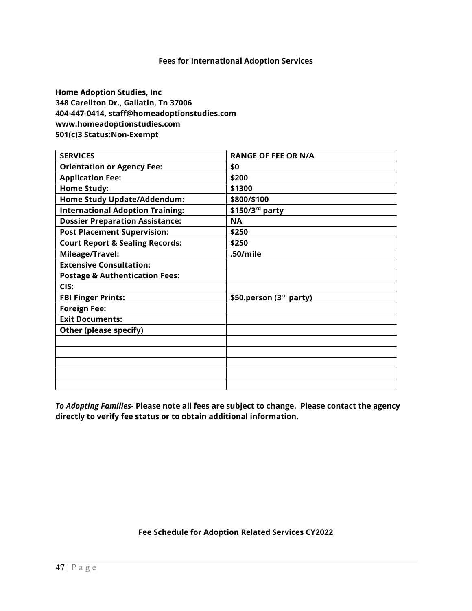**Home Adoption Studies, Inc 348 Carellton Dr., Gallatin, Tn 37006 404-447-0414, staff@homeadoptionstudies.com www.homeadoptionstudies.com 501(c)3 Status:Non-Exempt**

| <b>SERVICES</b>                            | <b>RANGE OF FEE OR N/A</b> |
|--------------------------------------------|----------------------------|
| <b>Orientation or Agency Fee:</b>          | \$0                        |
| <b>Application Fee:</b>                    | \$200                      |
| <b>Home Study:</b>                         | \$1300                     |
| <b>Home Study Update/Addendum:</b>         | \$800/\$100                |
| <b>International Adoption Training:</b>    | \$150/3rd party            |
| <b>Dossier Preparation Assistance:</b>     | <b>NA</b>                  |
| <b>Post Placement Supervision:</b>         | \$250                      |
| <b>Court Report &amp; Sealing Records:</b> | \$250                      |
| Mileage/Travel:                            | .50/mile                   |
| <b>Extensive Consultation:</b>             |                            |
| <b>Postage &amp; Authentication Fees:</b>  |                            |
| CIS:                                       |                            |
| <b>FBI Finger Prints:</b>                  | \$50.person (3rd party)    |
| <b>Foreign Fee:</b>                        |                            |
| <b>Exit Documents:</b>                     |                            |
| Other (please specify)                     |                            |
|                                            |                            |
|                                            |                            |
|                                            |                            |
|                                            |                            |
|                                            |                            |

*To Adopting Families***- Please note all fees are subject to change. Please contact the agency directly to verify fee status or to obtain additional information.**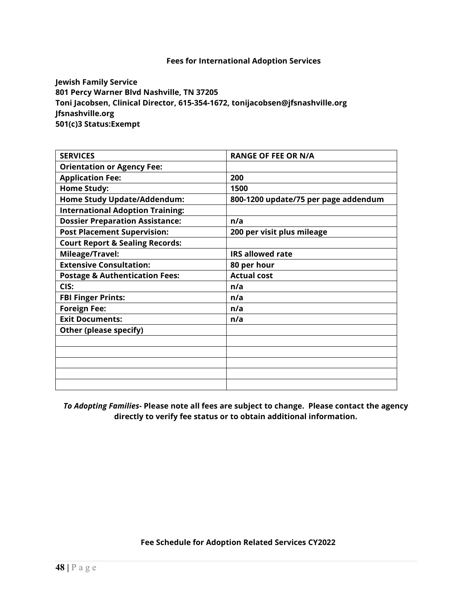**Jewish Family Service 801 Percy Warner Blvd Nashville, TN 37205 Toni Jacobsen, Clinical Director, 615-354-1672, tonijacobsen@jfsnashville.org Jfsnashville.org 501(c)3 Status:Exempt** 

| <b>SERVICES</b>                            | <b>RANGE OF FEE OR N/A</b>           |
|--------------------------------------------|--------------------------------------|
| <b>Orientation or Agency Fee:</b>          |                                      |
| <b>Application Fee:</b>                    | 200                                  |
| <b>Home Study:</b>                         | 1500                                 |
| <b>Home Study Update/Addendum:</b>         | 800-1200 update/75 per page addendum |
| <b>International Adoption Training:</b>    |                                      |
| <b>Dossier Preparation Assistance:</b>     | n/a                                  |
| <b>Post Placement Supervision:</b>         | 200 per visit plus mileage           |
| <b>Court Report &amp; Sealing Records:</b> |                                      |
| Mileage/Travel:                            | <b>IRS allowed rate</b>              |
| <b>Extensive Consultation:</b>             | 80 per hour                          |
|                                            |                                      |
| <b>Postage &amp; Authentication Fees:</b>  | <b>Actual cost</b>                   |
| CIS:                                       | n/a                                  |
| <b>FBI Finger Prints:</b>                  | n/a                                  |
| <b>Foreign Fee:</b>                        | n/a                                  |
| <b>Exit Documents:</b>                     | n/a                                  |
| Other (please specify)                     |                                      |
|                                            |                                      |
|                                            |                                      |
|                                            |                                      |
|                                            |                                      |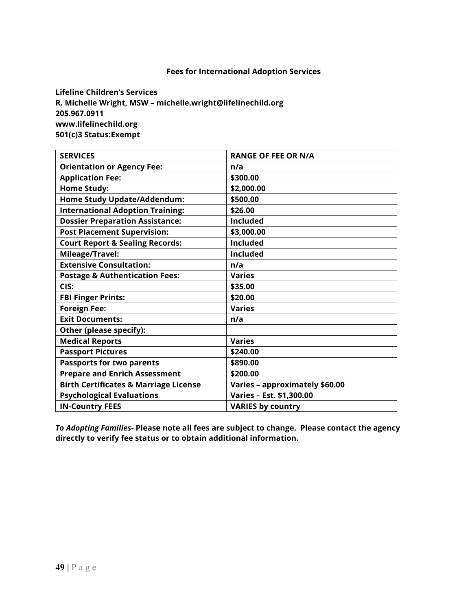**Lifeline Children's Services R. Michelle Wright, MSW – michelle.wright@lifelinechild.org 205.967.0911 www.lifelinechild.org 501(c)3 Status:Exempt** 

| <b>SERVICES</b>                                  | <b>RANGE OF FEE OR N/A</b>     |
|--------------------------------------------------|--------------------------------|
| <b>Orientation or Agency Fee:</b>                | n/a                            |
| <b>Application Fee:</b>                          | \$300.00                       |
| <b>Home Study:</b>                               | \$2,000.00                     |
| <b>Home Study Update/Addendum:</b>               | \$500.00                       |
| <b>International Adoption Training:</b>          | \$26.00                        |
| <b>Dossier Preparation Assistance:</b>           | <b>Included</b>                |
| <b>Post Placement Supervision:</b>               | \$3,000.00                     |
| <b>Court Report &amp; Sealing Records:</b>       | <b>Included</b>                |
| Mileage/Travel:                                  | <b>Included</b>                |
| <b>Extensive Consultation:</b>                   | n/a                            |
| <b>Postage &amp; Authentication Fees:</b>        | <b>Varies</b>                  |
| CIS:                                             | \$35.00                        |
| <b>FBI Finger Prints:</b>                        | \$20.00                        |
| <b>Foreign Fee:</b>                              | <b>Varies</b>                  |
| <b>Exit Documents:</b>                           | n/a                            |
| Other (please specify):                          |                                |
| <b>Medical Reports</b>                           | <b>Varies</b>                  |
| <b>Passport Pictures</b>                         | \$240.00                       |
| <b>Passports for two parents</b>                 | \$890.00                       |
| <b>Prepare and Enrich Assessment</b>             | \$200.00                       |
| <b>Birth Certificates &amp; Marriage License</b> | Varies - approximately \$60.00 |
| <b>Psychological Evaluations</b>                 | Varies - Est. \$1,300.00       |
| <b>IN-Country FEES</b>                           | <b>VARIES by country</b>       |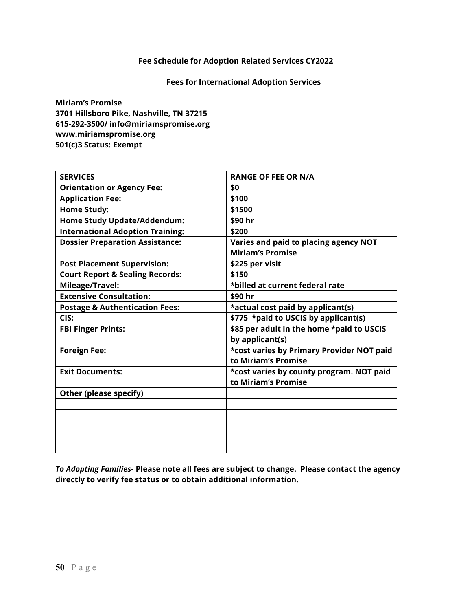#### **Fees for International Adoption Services**

**Miriam's Promise 3701 Hillsboro Pike, Nashville, TN 37215 615-292-3500/ info@miriamspromise.org www.miriamspromise.org 501(c)3 Status: Exempt**

| <b>SERVICES</b>                            | <b>RANGE OF FEE OR N/A</b>                |
|--------------------------------------------|-------------------------------------------|
| <b>Orientation or Agency Fee:</b>          | \$0                                       |
| <b>Application Fee:</b>                    | \$100                                     |
| <b>Home Study:</b>                         | \$1500                                    |
| <b>Home Study Update/Addendum:</b>         | \$90 hr                                   |
| <b>International Adoption Training:</b>    | \$200                                     |
| <b>Dossier Preparation Assistance:</b>     | Varies and paid to placing agency NOT     |
|                                            | <b>Miriam's Promise</b>                   |
| <b>Post Placement Supervision:</b>         | \$225 per visit                           |
| <b>Court Report &amp; Sealing Records:</b> | \$150                                     |
| Mileage/Travel:                            | *billed at current federal rate           |
| <b>Extensive Consultation:</b>             | \$90 hr                                   |
| <b>Postage &amp; Authentication Fees:</b>  | *actual cost paid by applicant(s)         |
| CIS:                                       | \$775 *paid to USCIS by applicant(s)      |
| <b>FBI Finger Prints:</b>                  | \$85 per adult in the home *paid to USCIS |
|                                            | by applicant(s)                           |
| <b>Foreign Fee:</b>                        | *cost varies by Primary Provider NOT paid |
|                                            | to Miriam's Promise                       |
| <b>Exit Documents:</b>                     | *cost varies by county program. NOT paid  |
|                                            | to Miriam's Promise                       |
| Other (please specify)                     |                                           |
|                                            |                                           |
|                                            |                                           |
|                                            |                                           |
|                                            |                                           |
|                                            |                                           |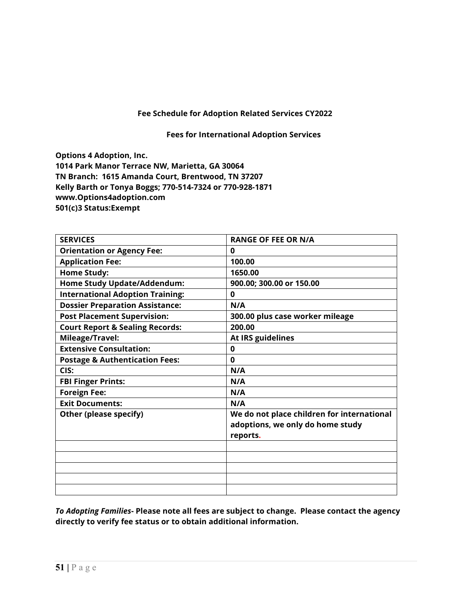**Fees for International Adoption Services**

**Options 4 Adoption, Inc.** 

**1014 Park Manor Terrace NW, Marietta, GA 30064 TN Branch: 1615 Amanda Court, Brentwood, TN 37207 Kelly Barth or Tonya Boggs; 770-514-7324 or 770-928-1871 [www.Options4adoption.com](http://www.options4adoption.com/) 501(c)3 Status:Exempt**

| <b>SERVICES</b>                            | <b>RANGE OF FEE OR N/A</b>                                                                 |
|--------------------------------------------|--------------------------------------------------------------------------------------------|
| <b>Orientation or Agency Fee:</b>          | $\bf{0}$                                                                                   |
| <b>Application Fee:</b>                    | 100.00                                                                                     |
| <b>Home Study:</b>                         | 1650.00                                                                                    |
| Home Study Update/Addendum:                | 900.00; 300.00 or 150.00                                                                   |
| <b>International Adoption Training:</b>    | $\bf{0}$                                                                                   |
| <b>Dossier Preparation Assistance:</b>     | N/A                                                                                        |
| <b>Post Placement Supervision:</b>         | 300.00 plus case worker mileage                                                            |
| <b>Court Report &amp; Sealing Records:</b> | 200.00                                                                                     |
| Mileage/Travel:                            | At IRS guidelines                                                                          |
| <b>Extensive Consultation:</b>             | 0                                                                                          |
| <b>Postage &amp; Authentication Fees:</b>  | 0                                                                                          |
| CIS:                                       | N/A                                                                                        |
| <b>FBI Finger Prints:</b>                  | N/A                                                                                        |
| <b>Foreign Fee:</b>                        | N/A                                                                                        |
| <b>Exit Documents:</b>                     | N/A                                                                                        |
| Other (please specify)                     | We do not place children for international<br>adoptions, we only do home study<br>reports. |
|                                            |                                                                                            |
|                                            |                                                                                            |
|                                            |                                                                                            |
|                                            |                                                                                            |
|                                            |                                                                                            |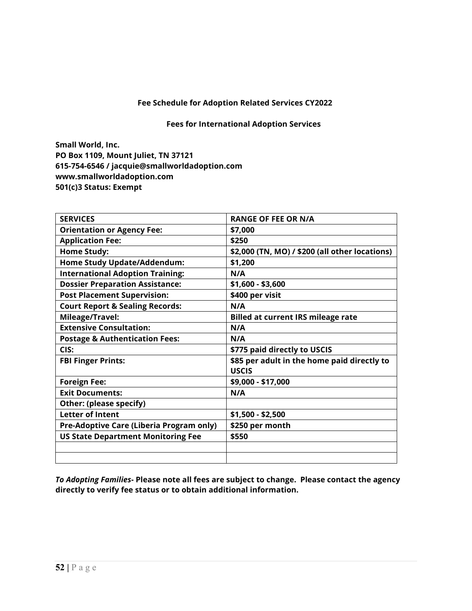**Fees for International Adoption Services**

**Small World, Inc. PO Box 1109, Mount Juliet, TN 37121 615-754-6546 / jacquie@smallworldadoption.com www.smallworldadoption.com 501(c)3 Status: Exempt** 

| <b>SERVICES</b>                            | <b>RANGE OF FEE OR N/A</b>                     |
|--------------------------------------------|------------------------------------------------|
| <b>Orientation or Agency Fee:</b>          | \$7,000                                        |
| <b>Application Fee:</b>                    | \$250                                          |
| <b>Home Study:</b>                         | \$2,000 (TN, MO) / \$200 (all other locations) |
| Home Study Update/Addendum:                | \$1,200                                        |
| <b>International Adoption Training:</b>    | N/A                                            |
| <b>Dossier Preparation Assistance:</b>     | \$1,600 - \$3,600                              |
| <b>Post Placement Supervision:</b>         | \$400 per visit                                |
| <b>Court Report &amp; Sealing Records:</b> | N/A                                            |
| Mileage/Travel:                            | <b>Billed at current IRS mileage rate</b>      |
| <b>Extensive Consultation:</b>             | N/A                                            |
| <b>Postage &amp; Authentication Fees:</b>  | N/A                                            |
| CIS:                                       | \$775 paid directly to USCIS                   |
| <b>FBI Finger Prints:</b>                  | \$85 per adult in the home paid directly to    |
|                                            | <b>USCIS</b>                                   |
| <b>Foreign Fee:</b>                        | \$9,000 - \$17,000                             |
| <b>Exit Documents:</b>                     | N/A                                            |
| Other: (please specify)                    |                                                |
| <b>Letter of Intent</b>                    | \$1,500 - \$2,500                              |
| Pre-Adoptive Care (Liberia Program only)   | \$250 per month                                |
| <b>US State Department Monitoring Fee</b>  | \$550                                          |
|                                            |                                                |
|                                            |                                                |